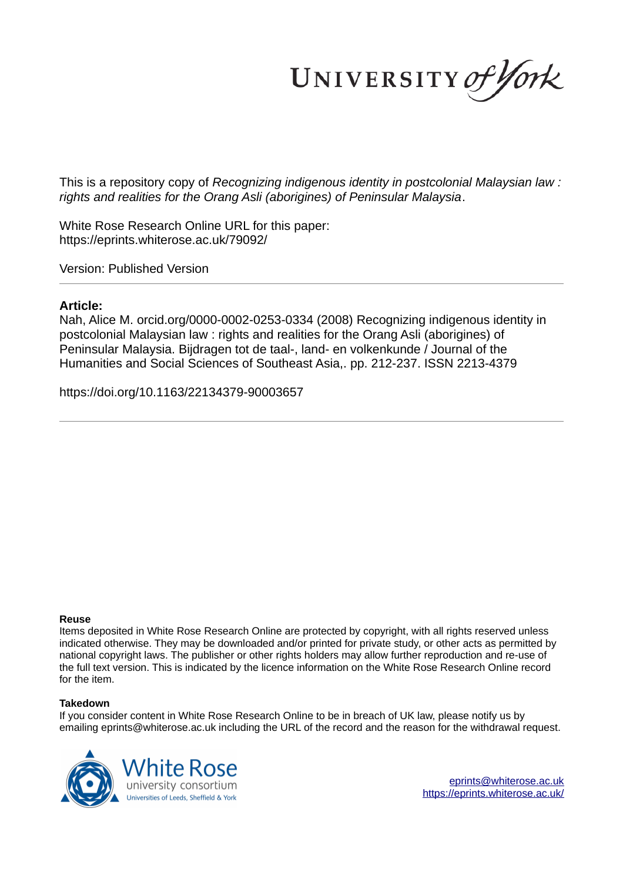UNIVERSITY of York

This is a repository copy of *Recognizing indigenous identity in postcolonial Malaysian law : rights and realities for the Orang Asli (aborigines) of Peninsular Malaysia*.

White Rose Research Online URL for this paper: https://eprints.whiterose.ac.uk/79092/

Version: Published Version

## **Article:**

Nah, Alice M. orcid.org/0000-0002-0253-0334 (2008) Recognizing indigenous identity in postcolonial Malaysian law : rights and realities for the Orang Asli (aborigines) of Peninsular Malaysia. Bijdragen tot de taal-, land- en volkenkunde / Journal of the Humanities and Social Sciences of Southeast Asia,. pp. 212-237. ISSN 2213-4379

https://doi.org/10.1163/22134379-90003657

## **Reuse**

Items deposited in White Rose Research Online are protected by copyright, with all rights reserved unless indicated otherwise. They may be downloaded and/or printed for private study, or other acts as permitted by national copyright laws. The publisher or other rights holders may allow further reproduction and re-use of the full text version. This is indicated by the licence information on the White Rose Research Online record for the item.

## **Takedown**

If you consider content in White Rose Research Online to be in breach of UK law, please notify us by emailing eprints@whiterose.ac.uk including the URL of the record and the reason for the withdrawal request.



eprints@whiterose.ac.uk https://eprints.whiterose.ac.uk/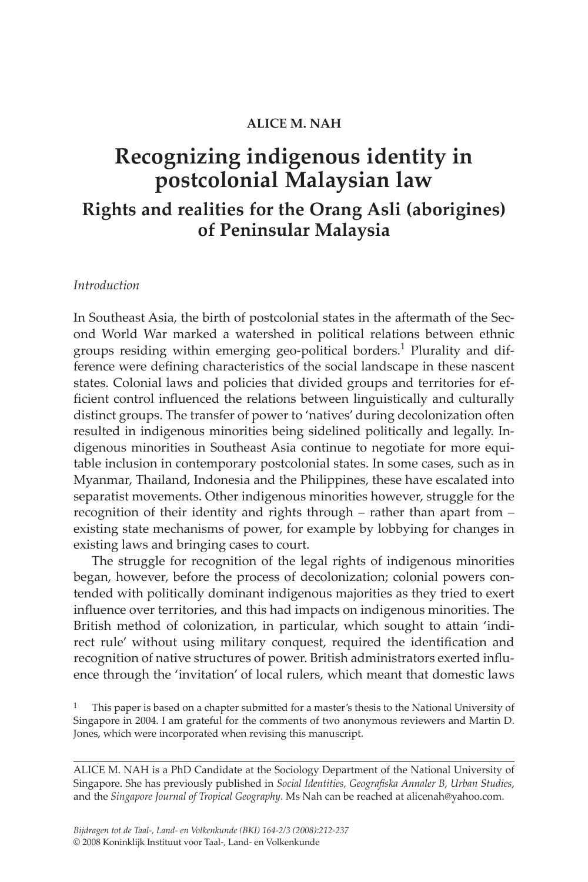## **ALICE m. NAH**

# **Recognizing indigenous identity in postcolonial malaysian law Rights and realities for the Orang Asli (aborigines) of Peninsular malaysia**

#### *Introduction*

In Southeast Asia, the birth of postcolonial states in the aftermath of the Second World War marked a watershed in political relations between ethnic groups residing within emerging geo-political borders.<sup>1</sup> Plurality and difference were defining characteristics of the social landscape in these nascent states. Colonial laws and policies that divided groups and territories for efficient control influenced the relations between linguistically and culturally distinct groups. The transfer of power to 'natives' during decolonization often resulted in indigenous minorities being sidelined politically and legally. Indigenous minorities in Southeast Asia continue to negotiate for more equitable inclusion in contemporary postcolonial states. In some cases, such as in Myanmar, Thailand, Indonesia and the Philippines, these have escalated into separatist movements. Other indigenous minorities however, struggle for the recognition of their identity and rights through – rather than apart from – existing state mechanisms of power, for example by lobbying for changes in existing laws and bringing cases to court.

The struggle for recognition of the legal rights of indigenous minorities began, however, before the process of decolonization; colonial powers contended with politically dominant indigenous majorities as they tried to exert influence over territories, and this had impacts on indigenous minorities. The British method of colonization, in particular, which sought to attain 'indirect rule' without using military conquest, required the identification and recognition of native structures of power. British administrators exerted influence through the 'invitation' of local rulers, which meant that domestic laws

<sup>1</sup> This paper is based on a chapter submitted for a master's thesis to the National University of Singapore in 2004. I am grateful for the comments of two anonymous reviewers and Martin D. Jones, which were incorporated when revising this manuscript.

ALICE M. NAH is a PhD Candidate at the Sociology Department of the National University of Singapore. She has previously published in *Social Identities, Geografiska Annaler B*, *Urban Studies*, and the *Singapore Journal of Tropical Geography*. Ms Nah can be reached at alicenah@yahoo.com.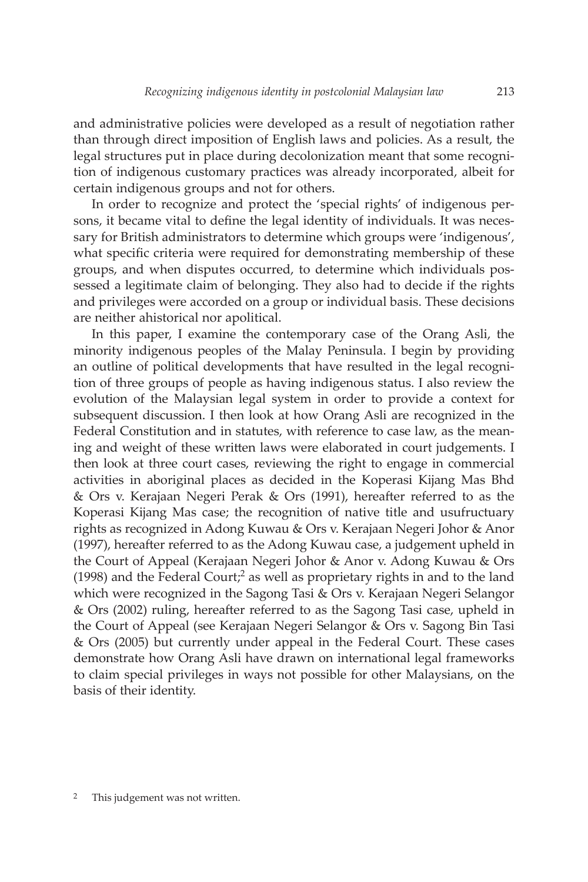and administrative policies were developed as a result of negotiation rather than through direct imposition of English laws and policies. As a result, the legal structures put in place during decolonization meant that some recognition of indigenous customary practices was already incorporated, albeit for certain indigenous groups and not for others.

In order to recognize and protect the 'special rights' of indigenous persons, it became vital to define the legal identity of individuals. It was necessary for British administrators to determine which groups were 'indigenous', what specific criteria were required for demonstrating membership of these groups, and when disputes occurred, to determine which individuals possessed a legitimate claim of belonging. They also had to decide if the rights and privileges were accorded on a group or individual basis. These decisions are neither ahistorical nor apolitical.

In this paper, I examine the contemporary case of the Orang Asli, the minority indigenous peoples of the Malay Peninsula. I begin by providing an outline of political developments that have resulted in the legal recognition of three groups of people as having indigenous status. I also review the evolution of the Malaysian legal system in order to provide a context for subsequent discussion. I then look at how Orang Asli are recognized in the Federal Constitution and in statutes, with reference to case law, as the meaning and weight of these written laws were elaborated in court judgements. I then look at three court cases, reviewing the right to engage in commercial activities in aboriginal places as decided in the Koperasi Kijang Mas Bhd & Ors v. Kerajaan Negeri Perak & Ors (1991), hereafter referred to as the Koperasi Kijang Mas case; the recognition of native title and usufructuary rights as recognized in Adong Kuwau & Ors v. Kerajaan Negeri Johor & Anor (1997), hereafter referred to as the Adong Kuwau case, a judgement upheld in the Court of Appeal (Kerajaan Negeri Johor & Anor v. Adong Kuwau & Ors (1998) and the Federal Court;<sup>2</sup> as well as proprietary rights in and to the land which were recognized in the Sagong Tasi & Ors v. Kerajaan Negeri Selangor & Ors (2002) ruling, hereafter referred to as the Sagong Tasi case, upheld in the Court of Appeal (see Kerajaan Negeri Selangor & Ors v. Sagong Bin Tasi & Ors (2005) but currently under appeal in the Federal Court. These cases demonstrate how Orang Asli have drawn on international legal frameworks to claim special privileges in ways not possible for other Malaysians, on the basis of their identity.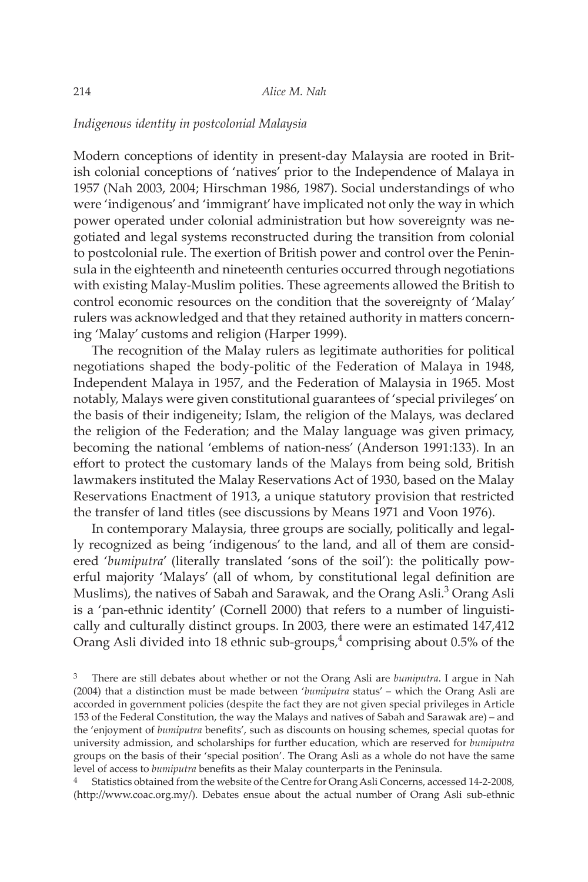#### *Indigenous identity in postcolonial Malaysia*

Modern conceptions of identity in present-day Malaysia are rooted in British colonial conceptions of 'natives' prior to the Independence of Malaya in 1957 (Nah 2003, 2004; Hirschman 1986, 1987). Social understandings of who were 'indigenous' and 'immigrant' have implicated not only the way in which power operated under colonial administration but how sovereignty was negotiated and legal systems reconstructed during the transition from colonial to postcolonial rule. The exertion of British power and control over the Peninsula in the eighteenth and nineteenth centuries occurred through negotiations with existing Malay-Muslim polities. These agreements allowed the British to control economic resources on the condition that the sovereignty of 'Malay' rulers was acknowledged and that they retained authority in matters concerning 'Malay' customs and religion (Harper 1999).

The recognition of the Malay rulers as legitimate authorities for political negotiations shaped the body-politic of the Federation of Malaya in 1948, Independent Malaya in 1957, and the Federation of Malaysia in 1965. Most notably, Malays were given constitutional guarantees of 'special privileges' on the basis of their indigeneity; Islam, the religion of the Malays, was declared the religion of the Federation; and the Malay language was given primacy, becoming the national 'emblems of nation-ness' (Anderson 1991:133). In an effort to protect the customary lands of the Malays from being sold, British lawmakers instituted the Malay Reservations Act of 1930, based on the Malay Reservations Enactment of 1913, a unique statutory provision that restricted the transfer of land titles (see discussions by Means 1971 and Voon 1976).

In contemporary Malaysia, three groups are socially, politically and legally recognized as being 'indigenous' to the land, and all of them are considered '*bumiputra*' (literally translated 'sons of the soil'): the politically powerful majority 'Malays' (all of whom, by constitutional legal definition are Muslims), the natives of Sabah and Sarawak, and the Orang Asli.<sup>3</sup> Orang Asli is a 'pan-ethnic identity' (Cornell 2000) that refers to a number of linguistically and culturally distinct groups. In 2003, there were an estimated 147,412 Orang Asli divided into 18 ethnic sub-groups, $4$  comprising about 0.5% of the

4 Statistics obtained from the website of the Centre for Orang Asli Concerns, accessed 14-2-2008, (http://www.coac.org.my/). Debates ensue about the actual number of Orang Asli sub-ethnic

<sup>3</sup> There are still debates about whether or not the Orang Asli are *bumiputra*. I argue in Nah (2004) that a distinction must be made between '*bumiputra* status' – which the Orang Asli are accorded in government policies (despite the fact they are not given special privileges in Article 153 of the Federal Constitution, the way the Malays and natives of Sabah and Sarawak are) – and the 'enjoyment of *bumiputra* benefits', such as discounts on housing schemes, special quotas for university admission, and scholarships for further education, which are reserved for *bumiputra* groups on the basis of their 'special position'. The Orang Asli as a whole do not have the same level of access to *bumiputra* benefits as their Malay counterparts in the Peninsula.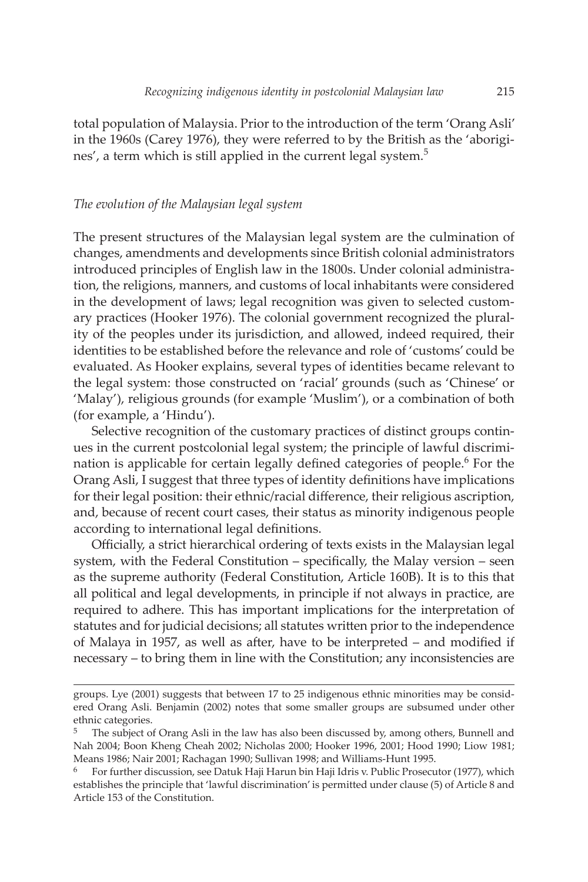total population of Malaysia. Prior to the introduction of the term 'Orang Asli' in the 1960s (Carey 1976), they were referred to by the British as the 'aborigines', a term which is still applied in the current legal system.<sup>5</sup>

## *The evolution of the Malaysian legal system*

The present structures of the Malaysian legal system are the culmination of changes, amendments and developments since British colonial administrators introduced principles of English law in the 1800s. Under colonial administration, the religions, manners, and customs of local inhabitants were considered in the development of laws; legal recognition was given to selected customary practices (Hooker 1976). The colonial government recognized the plurality of the peoples under its jurisdiction, and allowed, indeed required, their identities to be established before the relevance and role of 'customs' could be evaluated. As Hooker explains, several types of identities became relevant to the legal system: those constructed on 'racial' grounds (such as 'Chinese' or 'Malay'), religious grounds (for example 'Muslim'), or a combination of both (for example, a 'Hindu').

Selective recognition of the customary practices of distinct groups continues in the current postcolonial legal system; the principle of lawful discrimination is applicable for certain legally defined categories of people.<sup>6</sup> For the Orang Asli, I suggest that three types of identity definitions have implications for their legal position: their ethnic/racial difference, their religious ascription, and, because of recent court cases, their status as minority indigenous people according to international legal definitions.

Officially, a strict hierarchical ordering of texts exists in the Malaysian legal system, with the Federal Constitution – specifically, the Malay version – seen as the supreme authority (Federal Constitution, Article 160B). It is to this that all political and legal developments, in principle if not always in practice, are required to adhere. This has important implications for the interpretation of statutes and for judicial decisions; all statutes written prior to the independence of Malaya in 1957, as well as after, have to be interpreted – and modified if necessary – to bring them in line with the Constitution; any inconsistencies are

groups. Lye (2001) suggests that between 17 to 25 indigenous ethnic minorities may be considered Orang Asli. Benjamin (2002) notes that some smaller groups are subsumed under other ethnic categories.

The subject of Orang Asli in the law has also been discussed by, among others, Bunnell and Nah 2004; Boon Kheng Cheah 2002; Nicholas 2000; Hooker 1996, 2001; Hood 1990; Liow 1981; Means 1986; Nair 2001; Rachagan 1990; Sullivan 1998; and Williams-Hunt 1995.

<sup>6</sup> For further discussion, see Datuk Haji Harun bin Haji Idris v. Public Prosecutor (1977), which establishes the principle that 'lawful discrimination' is permitted under clause (5) of Article 8 and Article 153 of the Constitution.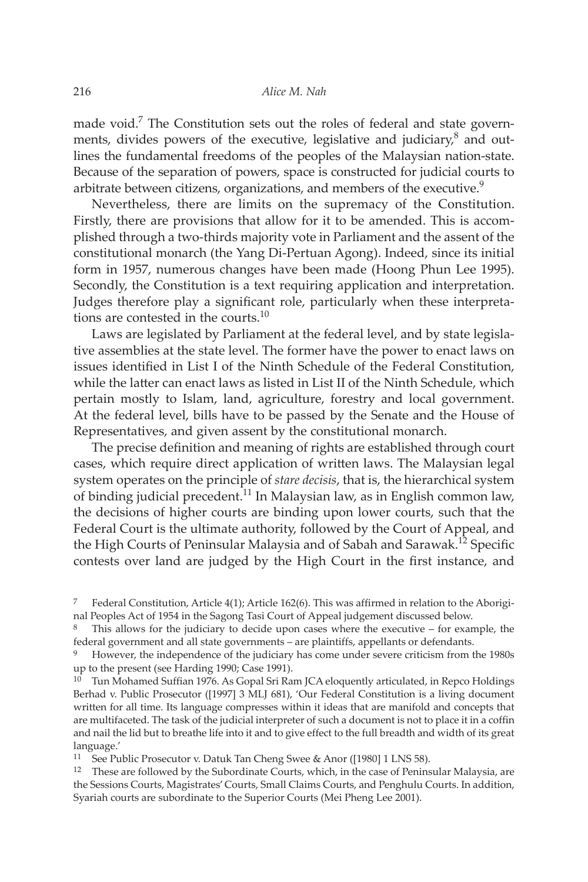made void.<sup>7</sup> The Constitution sets out the roles of federal and state governments, divides powers of the executive, legislative and judiciary, $^8$  and outlines the fundamental freedoms of the peoples of the Malaysian nation-state. Because of the separation of powers, space is constructed for judicial courts to arbitrate between citizens, organizations, and members of the executive.<sup>9</sup>

Nevertheless, there are limits on the supremacy of the Constitution. Firstly, there are provisions that allow for it to be amended. This is accomplished through a two-thirds majority vote in Parliament and the assent of the constitutional monarch (the Yang Di-Pertuan Agong). Indeed, since its initial form in 1957, numerous changes have been made (Hoong Phun Lee 1995). Secondly, the Constitution is a text requiring application and interpretation. Judges therefore play a significant role, particularly when these interpretations are contested in the courts.<sup>10</sup>

Laws are legislated by Parliament at the federal level, and by state legislative assemblies at the state level. The former have the power to enact laws on issues identified in List I of the Ninth Schedule of the Federal Constitution, while the latter can enact laws as listed in List II of the Ninth Schedule, which pertain mostly to Islam, land, agriculture, forestry and local government. At the federal level, bills have to be passed by the Senate and the House of Representatives, and given assent by the constitutional monarch.

The precise definition and meaning of rights are established through court cases, which require direct application of written laws. The Malaysian legal system operates on the principle of *stare decisis*, that is, the hierarchical system of binding judicial precedent.<sup>11</sup> In Malaysian law, as in English common law, the decisions of higher courts are binding upon lower courts, such that the Federal Court is the ultimate authority, followed by the Court of Appeal, and the High Courts of Peninsular Malaysia and of Sabah and Sarawak.<sup>12</sup> Specific contests over land are judged by the High Court in the first instance, and

11 See Public Prosecutor v. Datuk Tan Cheng Swee & Anor ([1980] 1 LNS 58).

<sup>7</sup> Federal Constitution, Article 4(1); Article 162(6). This was affirmed in relation to the Aboriginal Peoples Act of 1954 in the Sagong Tasi Court of Appeal judgement discussed below.

<sup>8</sup> This allows for the judiciary to decide upon cases where the executive – for example, the federal government and all state governments – are plaintiffs, appellants or defendants.

<sup>9</sup> However, the independence of the judiciary has come under severe criticism from the 1980s up to the present (see Harding 1990; Case 1991).

<sup>&</sup>lt;sup>10</sup> Tun Mohamed Suffian 1976. As Gopal Sri Ram JCA eloquently articulated, in Repco Holdings Berhad v. Public Prosecutor ([1997] 3 MLJ 681), 'Our Federal Constitution is a living document written for all time. Its language compresses within it ideas that are manifold and concepts that are multifaceted. The task of the judicial interpreter of such a document is not to place it in a coffin and nail the lid but to breathe life into it and to give effect to the full breadth and width of its great language.'

<sup>12</sup> These are followed by the Subordinate Courts, which, in the case of Peninsular Malaysia, are the Sessions Courts, Magistrates' Courts, Small Claims Courts, and Penghulu Courts. In addition, Syariah courts are subordinate to the Superior Courts (Mei Pheng Lee 2001).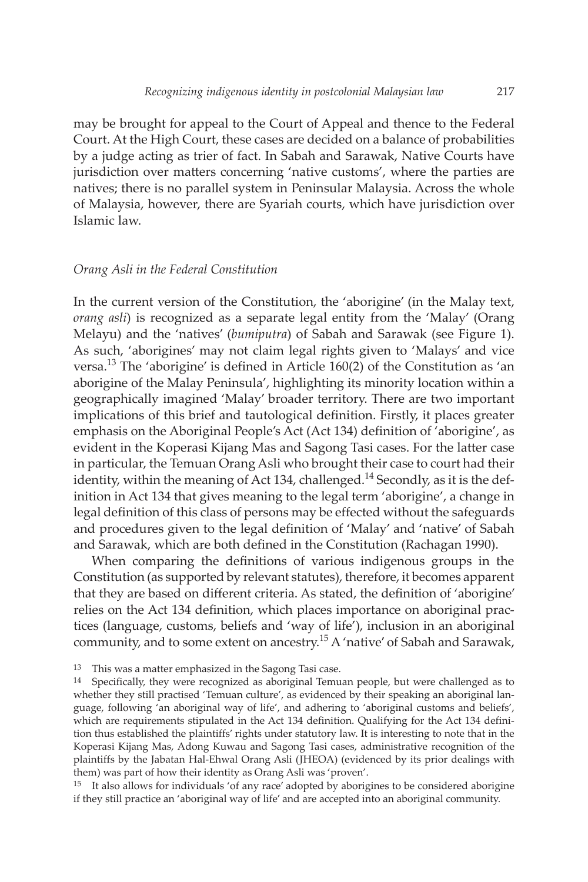may be brought for appeal to the Court of Appeal and thence to the Federal Court. At the High Court, these cases are decided on a balance of probabilities by a judge acting as trier of fact. In Sabah and Sarawak, Native Courts have jurisdiction over matters concerning 'native customs', where the parties are natives; there is no parallel system in Peninsular Malaysia. Across the whole of Malaysia, however, there are Syariah courts, which have jurisdiction over Islamic law.

#### *Orang Asli in the Federal Constitution*

In the current version of the Constitution, the 'aborigine' (in the Malay text, *orang asli*) is recognized as a separate legal entity from the 'Malay' (Orang Melayu) and the 'natives' (*bumiputra*) of Sabah and Sarawak (see Figure 1). As such, 'aborigines' may not claim legal rights given to 'Malays' and vice versa.<sup>13</sup> The 'aborigine' is defined in Article 160(2) of the Constitution as 'an aborigine of the Malay Peninsula', highlighting its minority location within a geographically imagined 'Malay' broader territory. There are two important implications of this brief and tautological definition. Firstly, it places greater emphasis on the Aboriginal People's Act (Act 134) definition of 'aborigine', as evident in the Koperasi Kijang Mas and Sagong Tasi cases. For the latter case in particular, the Temuan Orang Asli who brought their case to court had their identity, within the meaning of Act 134, challenged.<sup>14</sup> Secondly, as it is the definition in Act 134 that gives meaning to the legal term 'aborigine', a change in legal definition of this class of persons may be effected without the safeguards and procedures given to the legal definition of 'Malay' and 'native' of Sabah and Sarawak, which are both defined in the Constitution (Rachagan 1990).

When comparing the definitions of various indigenous groups in the Constitution (as supported by relevant statutes), therefore, it becomes apparent that they are based on different criteria. As stated, the definition of 'aborigine' relies on the Act 134 definition, which places importance on aboriginal practices (language, customs, beliefs and 'way of life'), inclusion in an aboriginal community, and to some extent on ancestry.<sup>15</sup> A 'native' of Sabah and Sarawak,

13 This was a matter emphasized in the Sagong Tasi case.

14 Specifically, they were recognized as aboriginal Temuan people, but were challenged as to whether they still practised 'Temuan culture', as evidenced by their speaking an aboriginal language, following 'an aboriginal way of life', and adhering to 'aboriginal customs and beliefs', which are requirements stipulated in the Act 134 definition. Qualifying for the Act 134 definition thus established the plaintiffs' rights under statutory law. It is interesting to note that in the Koperasi Kijang Mas, Adong Kuwau and Sagong Tasi cases, administrative recognition of the plaintiffs by the Jabatan Hal-Ehwal Orang Asli (JHEOA) (evidenced by its prior dealings with them) was part of how their identity as Orang Asli was 'proven'.

15 It also allows for individuals 'of any race' adopted by aborigines to be considered aborigine if they still practice an 'aboriginal way of life' and are accepted into an aboriginal community.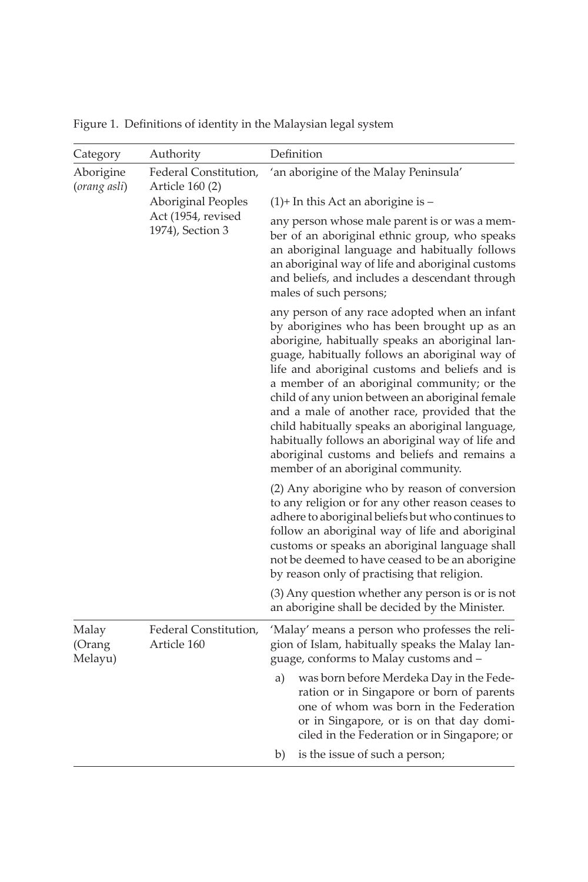| Category                   | Authority                                                                                                | Definition                                                                                                                                                                                                                                                                                                                                                                                                                                                                                                                                                                                          |
|----------------------------|----------------------------------------------------------------------------------------------------------|-----------------------------------------------------------------------------------------------------------------------------------------------------------------------------------------------------------------------------------------------------------------------------------------------------------------------------------------------------------------------------------------------------------------------------------------------------------------------------------------------------------------------------------------------------------------------------------------------------|
| Aborigine<br>(orang asli)  | Federal Constitution,<br>Article 160 (2)<br>Aboriginal Peoples<br>Act (1954, revised<br>1974), Section 3 | 'an aborigine of the Malay Peninsula'                                                                                                                                                                                                                                                                                                                                                                                                                                                                                                                                                               |
|                            |                                                                                                          | $(1)$ + In this Act an aborigine is –                                                                                                                                                                                                                                                                                                                                                                                                                                                                                                                                                               |
|                            |                                                                                                          | any person whose male parent is or was a mem-<br>ber of an aboriginal ethnic group, who speaks<br>an aboriginal language and habitually follows<br>an aboriginal way of life and aboriginal customs<br>and beliefs, and includes a descendant through<br>males of such persons;                                                                                                                                                                                                                                                                                                                     |
|                            |                                                                                                          | any person of any race adopted when an infant<br>by aborigines who has been brought up as an<br>aborigine, habitually speaks an aboriginal lan-<br>guage, habitually follows an aboriginal way of<br>life and aboriginal customs and beliefs and is<br>a member of an aboriginal community; or the<br>child of any union between an aboriginal female<br>and a male of another race, provided that the<br>child habitually speaks an aboriginal language,<br>habitually follows an aboriginal way of life and<br>aboriginal customs and beliefs and remains a<br>member of an aboriginal community. |
|                            |                                                                                                          | (2) Any aborigine who by reason of conversion<br>to any religion or for any other reason ceases to<br>adhere to aboriginal beliefs but who continues to<br>follow an aboriginal way of life and aboriginal<br>customs or speaks an aboriginal language shall<br>not be deemed to have ceased to be an aborigine<br>by reason only of practising that religion.                                                                                                                                                                                                                                      |
|                            |                                                                                                          | (3) Any question whether any person is or is not<br>an aborigine shall be decided by the Minister.                                                                                                                                                                                                                                                                                                                                                                                                                                                                                                  |
| Malay<br>(Orang<br>Melayu) | Federal Constitution,<br>Article 160                                                                     | 'Malay' means a person who professes the reli-<br>gion of Islam, habitually speaks the Malay lan-<br>guage, conforms to Malay customs and -                                                                                                                                                                                                                                                                                                                                                                                                                                                         |
|                            |                                                                                                          | was born before Merdeka Day in the Fede-<br>a)<br>ration or in Singapore or born of parents<br>one of whom was born in the Federation<br>or in Singapore, or is on that day domi-<br>ciled in the Federation or in Singapore; or                                                                                                                                                                                                                                                                                                                                                                    |
|                            |                                                                                                          | is the issue of such a person;<br>b)                                                                                                                                                                                                                                                                                                                                                                                                                                                                                                                                                                |

Figure 1. Definitions of identity in the Malaysian legal system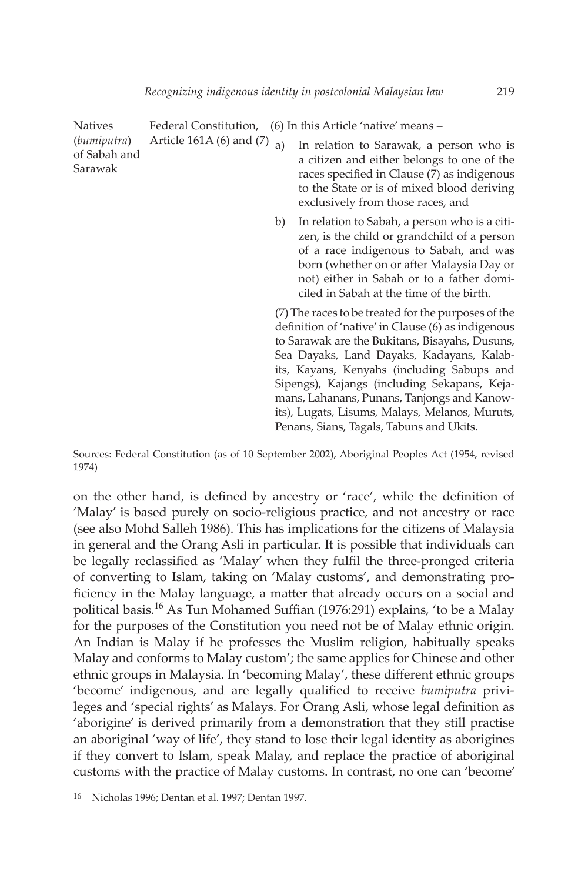| <b>Natives</b><br>(bumiputra)<br>of Sabah and<br>Sarawak | Federal Constitution,<br>Article 161A (6) and (7) | (6) In this Article 'native' means - |                                                                                                                                                                                                                                                                                                                                                                                                                                                     |
|----------------------------------------------------------|---------------------------------------------------|--------------------------------------|-----------------------------------------------------------------------------------------------------------------------------------------------------------------------------------------------------------------------------------------------------------------------------------------------------------------------------------------------------------------------------------------------------------------------------------------------------|
|                                                          |                                                   | a)                                   | In relation to Sarawak, a person who is<br>a citizen and either belongs to one of the<br>races specified in Clause (7) as indigenous<br>to the State or is of mixed blood deriving<br>exclusively from those races, and                                                                                                                                                                                                                             |
|                                                          |                                                   | b)                                   | In relation to Sabah, a person who is a citi-<br>zen, is the child or grandchild of a person<br>of a race indigenous to Sabah, and was<br>born (whether on or after Malaysia Day or<br>not) either in Sabah or to a father domi-<br>ciled in Sabah at the time of the birth.                                                                                                                                                                        |
|                                                          |                                                   |                                      | (7) The races to be treated for the purposes of the<br>definition of 'native' in Clause (6) as indigenous<br>to Sarawak are the Bukitans, Bisayahs, Dusuns,<br>Sea Dayaks, Land Dayaks, Kadayans, Kalab-<br>its, Kayans, Kenyahs (including Sabups and<br>Sipengs), Kajangs (including Sekapans, Keja-<br>mans, Lahanans, Punans, Tanjongs and Kanow-<br>its), Lugats, Lisums, Malays, Melanos, Muruts,<br>Penans, Sians, Tagals, Tabuns and Ukits. |

Sources: Federal Constitution (as of 10 September 2002), Aboriginal Peoples Act (1954, revised 1974)

on the other hand, is defined by ancestry or 'race', while the definition of 'Malay' is based purely on socio-religious practice, and not ancestry or race (see also Mohd Salleh 1986). This has implications for the citizens of Malaysia in general and the Orang Asli in particular. It is possible that individuals can be legally reclassified as 'Malay' when they fulfil the three-pronged criteria of converting to Islam, taking on 'Malay customs', and demonstrating proficiency in the Malay language, a matter that already occurs on a social and political basis.<sup>16</sup> As Tun Mohamed Suffian (1976:291) explains, 'to be a Malay for the purposes of the Constitution you need not be of Malay ethnic origin. An Indian is Malay if he professes the Muslim religion, habitually speaks Malay and conforms to Malay custom'; the same applies for Chinese and other ethnic groups in Malaysia. In 'becoming Malay', these different ethnic groups 'become' indigenous, and are legally qualified to receive *bumiputra* privileges and 'special rights' as Malays. For Orang Asli, whose legal definition as 'aborigine' is derived primarily from a demonstration that they still practise an aboriginal 'way of life', they stand to lose their legal identity as aborigines if they convert to Islam, speak Malay, and replace the practice of aboriginal customs with the practice of Malay customs. In contrast, no one can 'become'

<sup>16</sup> Nicholas 1996; Dentan et al. 1997; Dentan 1997.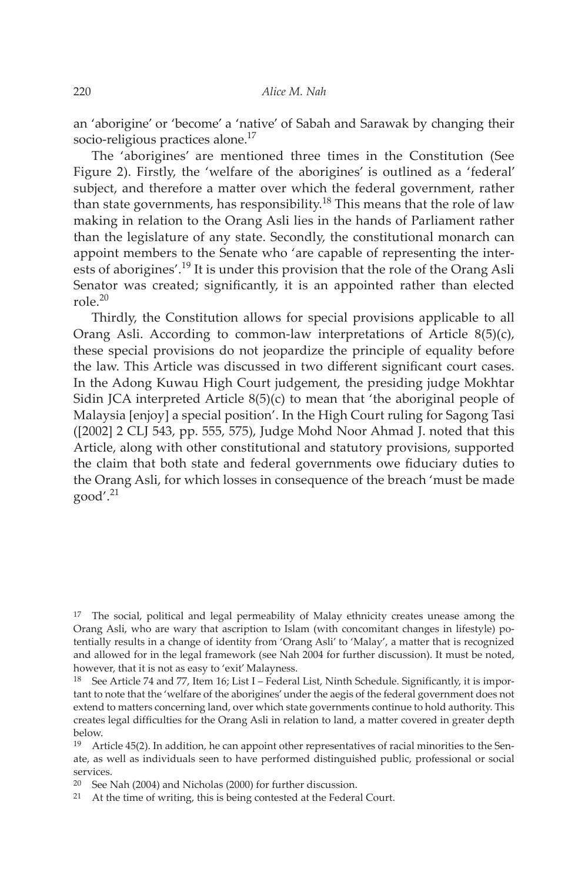an 'aborigine' or 'become' a 'native' of Sabah and Sarawak by changing their socio-religious practices alone.<sup>17</sup>

The 'aborigines' are mentioned three times in the Constitution (See Figure 2). Firstly, the 'welfare of the aborigines' is outlined as a 'federal' subject, and therefore a matter over which the federal government, rather than state governments, has responsibility.<sup>18</sup> This means that the role of law making in relation to the Orang Asli lies in the hands of Parliament rather than the legislature of any state. Secondly, the constitutional monarch can appoint members to the Senate who 'are capable of representing the interests of aborigines'.<sup>19</sup> It is under this provision that the role of the Orang Asli Senator was created; significantly, it is an appointed rather than elected role  $^{20}$ 

Thirdly, the Constitution allows for special provisions applicable to all Orang Asli. According to common-law interpretations of Article 8(5)(c), these special provisions do not jeopardize the principle of equality before the law. This Article was discussed in two different significant court cases. In the Adong Kuwau High Court judgement, the presiding judge Mokhtar Sidin JCA interpreted Article 8(5)(c) to mean that 'the aboriginal people of Malaysia [enjoy] a special position'. In the High Court ruling for Sagong Tasi ([2002] 2 CLJ 543, pp. 555, 575), Judge Mohd Noor Ahmad J. noted that this Article, along with other constitutional and statutory provisions, supported the claim that both state and federal governments owe fiduciary duties to the Orang Asli, for which losses in consequence of the breach 'must be made  $good'.<sup>21</sup>$ 

<sup>&</sup>lt;sup>17</sup> The social, political and legal permeability of Malay ethnicity creates unease among the Orang Asli, who are wary that ascription to Islam (with concomitant changes in lifestyle) potentially results in a change of identity from 'Orang Asli' to 'Malay', a matter that is recognized and allowed for in the legal framework (see Nah 2004 for further discussion). It must be noted, however, that it is not as easy to 'exit' Malayness.

<sup>18</sup> See Article 74 and 77, Item 16; List I – Federal List, Ninth Schedule. Significantly, it is important to note that the 'welfare of the aborigines' under the aegis of the federal government does not extend to matters concerning land, over which state governments continue to hold authority. This creates legal difficulties for the Orang Asli in relation to land, a matter covered in greater depth below.

<sup>&</sup>lt;sup>19</sup> Article  $45(2)$ . In addition, he can appoint other representatives of racial minorities to the Senate, as well as individuals seen to have performed distinguished public, professional or social services.

<sup>20</sup> See Nah (2004) and Nicholas (2000) for further discussion.

<sup>&</sup>lt;sup>21</sup> At the time of writing, this is being contested at the Federal Court.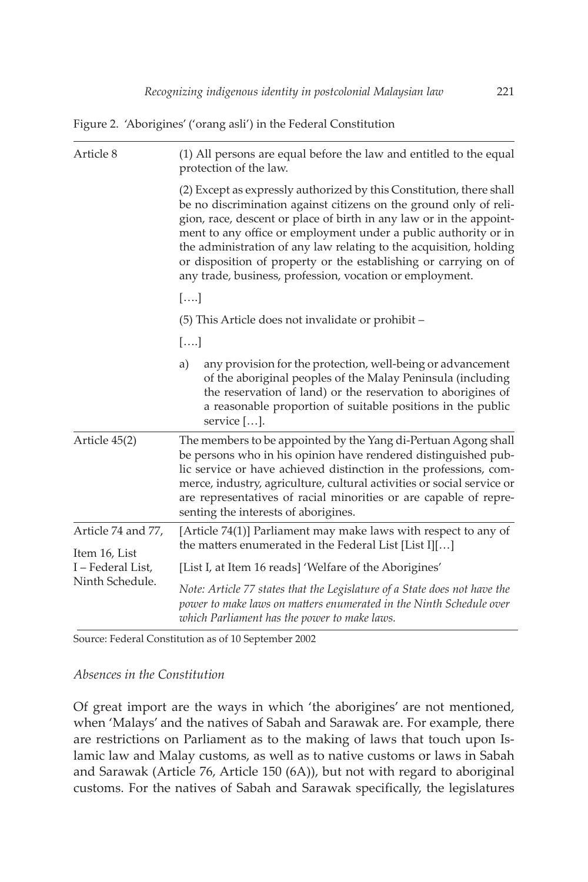Figure 2. 'Aborigines' ('orang asli') in the Federal Constitution

| Article 8          | (1) All persons are equal before the law and entitled to the equal<br>protection of the law.                                                                                                                                                                                                                                                                                                                                                                                              |  |  |
|--------------------|-------------------------------------------------------------------------------------------------------------------------------------------------------------------------------------------------------------------------------------------------------------------------------------------------------------------------------------------------------------------------------------------------------------------------------------------------------------------------------------------|--|--|
|                    | (2) Except as expressly authorized by this Constitution, there shall<br>be no discrimination against citizens on the ground only of reli-<br>gion, race, descent or place of birth in any law or in the appoint-<br>ment to any office or employment under a public authority or in<br>the administration of any law relating to the acquisition, holding<br>or disposition of property or the establishing or carrying on of<br>any trade, business, profession, vocation or employment. |  |  |
|                    | []                                                                                                                                                                                                                                                                                                                                                                                                                                                                                        |  |  |
|                    | (5) This Article does not invalidate or prohibit –                                                                                                                                                                                                                                                                                                                                                                                                                                        |  |  |
|                    | $[\ldots]$                                                                                                                                                                                                                                                                                                                                                                                                                                                                                |  |  |
|                    | a)<br>any provision for the protection, well-being or advancement<br>of the aboriginal peoples of the Malay Peninsula (including<br>the reservation of land) or the reservation to aborigines of<br>a reasonable proportion of suitable positions in the public<br>service [].                                                                                                                                                                                                            |  |  |
| Article 45(2)      | The members to be appointed by the Yang di-Pertuan Agong shall<br>be persons who in his opinion have rendered distinguished pub-<br>lic service or have achieved distinction in the professions, com-<br>merce, industry, agriculture, cultural activities or social service or<br>are representatives of racial minorities or are capable of repre-<br>senting the interests of aborigines.                                                                                              |  |  |
| Article 74 and 77, | [Article $74(1)$ ] Parliament may make laws with respect to any of                                                                                                                                                                                                                                                                                                                                                                                                                        |  |  |
| Item 16, List      | the matters enumerated in the Federal List [List I][]                                                                                                                                                                                                                                                                                                                                                                                                                                     |  |  |
| I – Federal List,  | [List I, at Item 16 reads] 'Welfare of the Aborigines'                                                                                                                                                                                                                                                                                                                                                                                                                                    |  |  |
| Ninth Schedule.    | Note: Article 77 states that the Legislature of a State does not have the<br>power to make laws on matters enumerated in the Ninth Schedule over<br>which Parliament has the power to make laws.                                                                                                                                                                                                                                                                                          |  |  |

Source: Federal Constitution as of 10 September 2002

## *Absences in the Constitution*

Of great import are the ways in which 'the aborigines' are not mentioned, when 'Malays' and the natives of Sabah and Sarawak are. For example, there are restrictions on Parliament as to the making of laws that touch upon Islamic law and Malay customs, as well as to native customs or laws in Sabah and Sarawak (Article 76, Article 150 (6A)), but not with regard to aboriginal customs. For the natives of Sabah and Sarawak specifically, the legislatures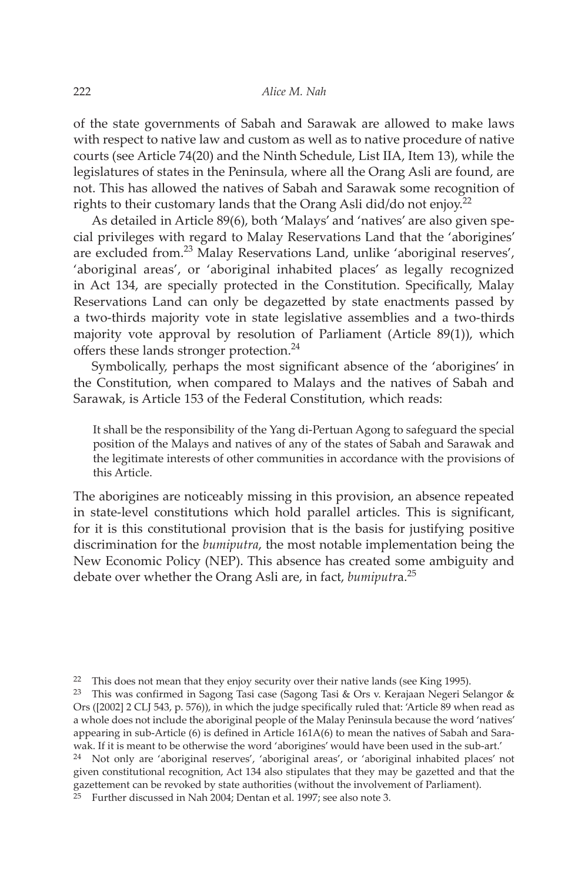of the state governments of Sabah and Sarawak are allowed to make laws with respect to native law and custom as well as to native procedure of native courts (see Article 74(20) and the Ninth Schedule, List IIA, Item 13), while the legislatures of states in the Peninsula, where all the Orang Asli are found, are not. This has allowed the natives of Sabah and Sarawak some recognition of rights to their customary lands that the Orang Asli did/do not enjoy.<sup>22</sup>

As detailed in Article 89(6), both 'Malays' and 'natives' are also given special privileges with regard to Malay Reservations Land that the 'aborigines' are excluded from.<sup>23</sup> Malay Reservations Land, unlike 'aboriginal reserves', 'aboriginal areas', or 'aboriginal inhabited places' as legally recognized in Act 134, are specially protected in the Constitution. Specifically, Malay Reservations Land can only be degazetted by state enactments passed by a two-thirds majority vote in state legislative assemblies and a two-thirds majority vote approval by resolution of Parliament (Article 89(1)), which offers these lands stronger protection.<sup>24</sup>

Symbolically, perhaps the most significant absence of the 'aborigines' in the Constitution, when compared to Malays and the natives of Sabah and Sarawak, is Article 153 of the Federal Constitution, which reads:

It shall be the responsibility of the Yang di-Pertuan Agong to safeguard the special position of the Malays and natives of any of the states of Sabah and Sarawak and the legitimate interests of other communities in accordance with the provisions of this Article.

The aborigines are noticeably missing in this provision, an absence repeated in state-level constitutions which hold parallel articles. This is significant, for it is this constitutional provision that is the basis for justifying positive discrimination for the *bumiputra*, the most notable implementation being the New Economic Policy (NEP). This absence has created some ambiguity and debate over whether the Orang Asli are, in fact, *bumiputr*a.<sup>25</sup>

<sup>&</sup>lt;sup>22</sup> This does not mean that they enjoy security over their native lands (see King 1995).

<sup>23</sup> This was confirmed in Sagong Tasi case (Sagong Tasi & Ors v. Kerajaan Negeri Selangor & Ors ([2002] 2 CLJ 543, p. 576)), in which the judge specifically ruled that: 'Article 89 when read as a whole does not include the aboriginal people of the Malay Peninsula because the word 'natives' appearing in sub-Article (6) is defined in Article 161A(6) to mean the natives of Sabah and Sarawak. If it is meant to be otherwise the word 'aborigines' would have been used in the sub-art.' 24 Not only are 'aboriginal reserves', 'aboriginal areas', or 'aboriginal inhabited places' not given constitutional recognition, Act 134 also stipulates that they may be gazetted and that the gazettement can be revoked by state authorities (without the involvement of Parliament).

 $25$  Further discussed in Nah 2004; Dentan et al. 1997; see also note 3.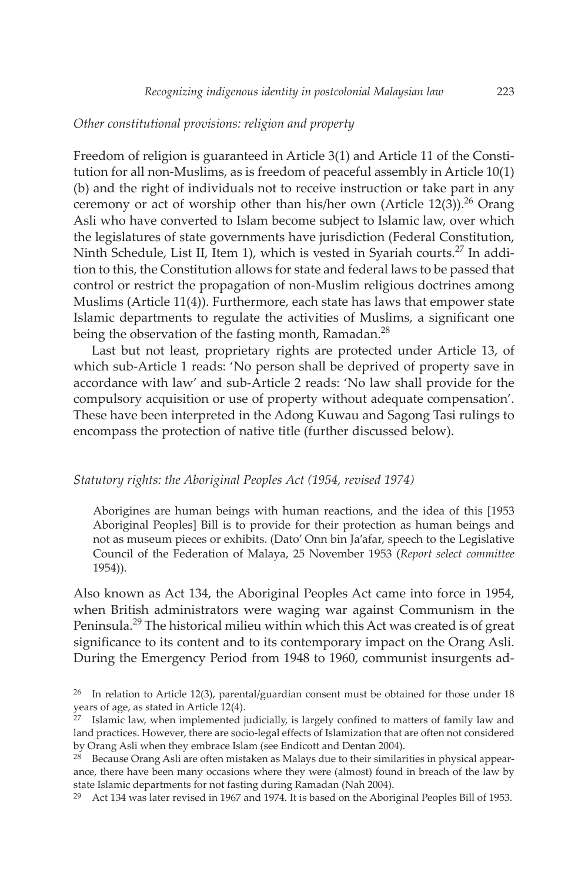#### *Other constitutional provisions: religion and property*

Freedom of religion is guaranteed in Article 3(1) and Article 11 of the Constitution for all non-Muslims, as is freedom of peaceful assembly in Article 10(1) (b) and the right of individuals not to receive instruction or take part in any ceremony or act of worship other than his/her own (Article 12(3)).<sup>26</sup> Orang Asli who have converted to Islam become subject to Islamic law, over which the legislatures of state governments have jurisdiction (Federal Constitution, Ninth Schedule, List II, Item 1), which is vested in Syariah courts.<sup>27</sup> In addition to this, the Constitution allows for state and federal laws to be passed that control or restrict the propagation of non-Muslim religious doctrines among Muslims (Article 11(4)). Furthermore, each state has laws that empower state Islamic departments to regulate the activities of Muslims, a significant one being the observation of the fasting month, Ramadan. $^{28}$ 

Last but not least, proprietary rights are protected under Article 13, of which sub-Article 1 reads: 'No person shall be deprived of property save in accordance with law' and sub-Article 2 reads: 'No law shall provide for the compulsory acquisition or use of property without adequate compensation'. These have been interpreted in the Adong Kuwau and Sagong Tasi rulings to encompass the protection of native title (further discussed below).

#### *Statutory rights: the Aboriginal Peoples Act (1954, revised 1974)*

Aborigines are human beings with human reactions, and the idea of this [1953 Aboriginal Peoples] Bill is to provide for their protection as human beings and not as museum pieces or exhibits. (Dato' Onn bin Ja'afar, speech to the Legislative Council of the Federation of Malaya, 25 November 1953 (*Report select committee* 1954)).

Also known as Act 134, the Aboriginal Peoples Act came into force in 1954, when British administrators were waging war against Communism in the Peninsula.<sup>29</sup> The historical milieu within which this Act was created is of great significance to its content and to its contemporary impact on the Orang Asli. During the Emergency Period from 1948 to 1960, communist insurgents ad-

<sup>&</sup>lt;sup>26</sup> In relation to Article 12(3), parental/guardian consent must be obtained for those under 18 years of age, as stated in Article 12(4).

 $27$  Islamic law, when implemented judicially, is largely confined to matters of family law and land practices. However, there are socio-legal effects of Islamization that are often not considered by Orang Asli when they embrace Islam (see Endicott and Dentan 2004).

<sup>&</sup>lt;sup>28</sup> Because Orang Asli are often mistaken as Malays due to their similarities in physical appearance, there have been many occasions where they were (almost) found in breach of the law by state Islamic departments for not fasting during Ramadan (Nah 2004).

<sup>&</sup>lt;sup>29</sup> Act 134 was later revised in 1967 and 1974. It is based on the Aboriginal Peoples Bill of 1953.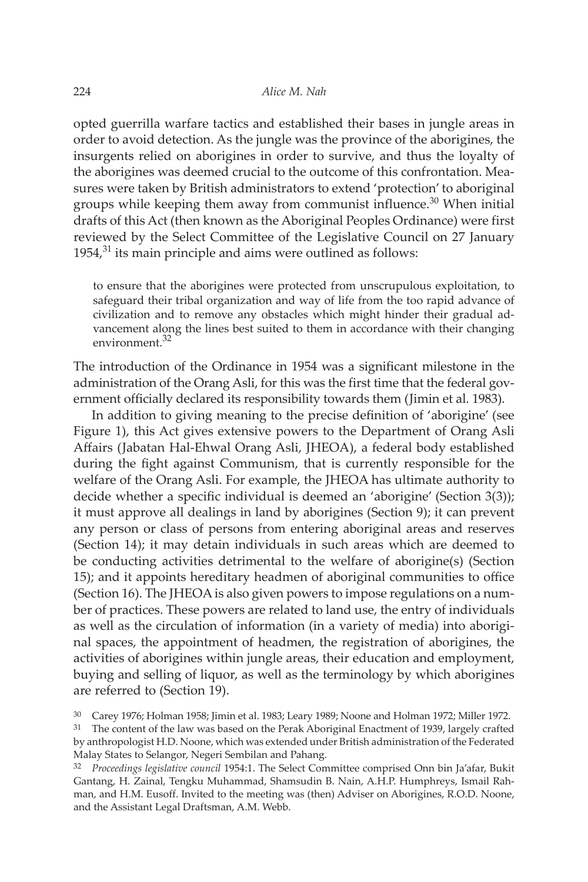opted guerrilla warfare tactics and established their bases in jungle areas in order to avoid detection. As the jungle was the province of the aborigines, the insurgents relied on aborigines in order to survive, and thus the loyalty of the aborigines was deemed crucial to the outcome of this confrontation. Measures were taken by British administrators to extend 'protection' to aboriginal groups while keeping them away from communist influence.<sup>30</sup> When initial drafts of this Act (then known as the Aboriginal Peoples Ordinance) were first reviewed by the Select Committee of the Legislative Council on 27 January  $1954<sub>1</sub><sup>31</sup>$  its main principle and aims were outlined as follows:

to ensure that the aborigines were protected from unscrupulous exploitation, to safeguard their tribal organization and way of life from the too rapid advance of civilization and to remove any obstacles which might hinder their gradual advancement along the lines best suited to them in accordance with their changing environment.<sup>32</sup>

The introduction of the Ordinance in 1954 was a significant milestone in the administration of the Orang Asli, for this was the first time that the federal government officially declared its responsibility towards them (Jimin et al. 1983).

In addition to giving meaning to the precise definition of 'aborigine' (see Figure 1), this Act gives extensive powers to the Department of Orang Asli Affairs (Jabatan Hal-Ehwal Orang Asli, JHEOA), a federal body established during the fight against Communism, that is currently responsible for the welfare of the Orang Asli. For example, the JHEOA has ultimate authority to decide whether a specific individual is deemed an 'aborigine' (Section 3(3)); it must approve all dealings in land by aborigines (Section 9); it can prevent any person or class of persons from entering aboriginal areas and reserves (Section 14); it may detain individuals in such areas which are deemed to be conducting activities detrimental to the welfare of aborigine(s) (Section 15); and it appoints hereditary headmen of aboriginal communities to office (Section 16). The JHEOA is also given powers to impose regulations on a number of practices. These powers are related to land use, the entry of individuals as well as the circulation of information (in a variety of media) into aboriginal spaces, the appointment of headmen, the registration of aborigines, the activities of aborigines within jungle areas, their education and employment, buying and selling of liquor, as well as the terminology by which aborigines are referred to (Section 19).

<sup>31</sup> The content of the law was based on the Perak Aboriginal Enactment of 1939, largely crafted by anthropologist H.D. Noone, which was extended under British administration of the Federated Malay States to Selangor, Negeri Sembilan and Pahang.

32 *Proceedings legislative council* 1954:1. The Select Committee comprised Onn bin Ja'afar, Bukit Gantang, H. Zainal, Tengku Muhammad, Shamsudin B. Nain, A.H.P. Humphreys, Ismail Rahman, and H.M. Eusoff. Invited to the meeting was (then) Adviser on Aborigines, R.O.D. Noone, and the Assistant Legal Draftsman, A.M. Webb.

<sup>30</sup> Carey 1976; Holman 1958; Jimin et al. 1983; Leary 1989; Noone and Holman 1972; Miller 1972.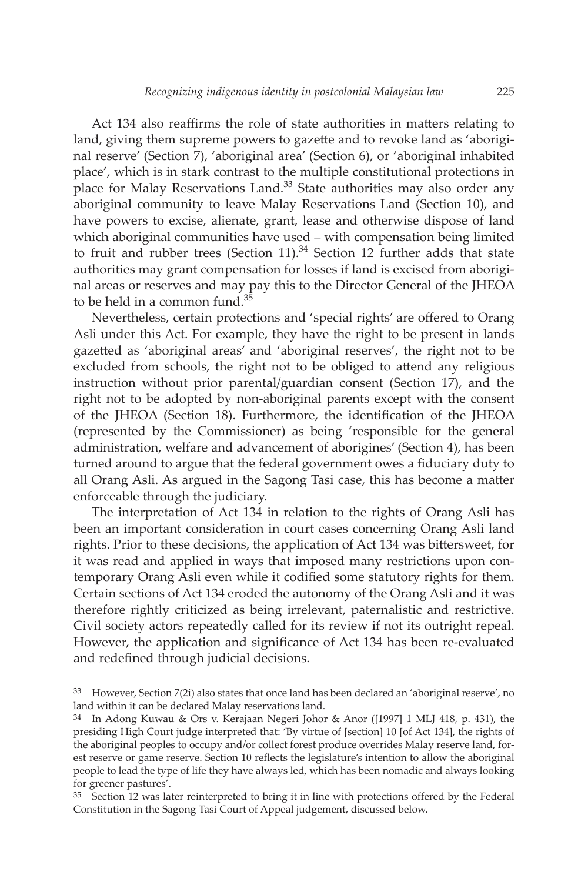Act 134 also reaffirms the role of state authorities in matters relating to land, giving them supreme powers to gazette and to revoke land as 'aboriginal reserve' (Section 7), 'aboriginal area' (Section 6), or 'aboriginal inhabited place', which is in stark contrast to the multiple constitutional protections in place for Malay Reservations Land.<sup>33</sup> State authorities may also order any aboriginal community to leave Malay Reservations Land (Section 10), and have powers to excise, alienate, grant, lease and otherwise dispose of land which aboriginal communities have used – with compensation being limited to fruit and rubber trees (Section 11). $34$  Section 12 further adds that state authorities may grant compensation for losses if land is excised from aboriginal areas or reserves and may pay this to the Director General of the JHEOA to be held in a common fund. $35$ 

Nevertheless, certain protections and 'special rights' are offered to Orang Asli under this Act. For example, they have the right to be present in lands gazetted as 'aboriginal areas' and 'aboriginal reserves', the right not to be excluded from schools, the right not to be obliged to attend any religious instruction without prior parental/guardian consent (Section 17), and the right not to be adopted by non-aboriginal parents except with the consent of the JHEOA (Section 18). Furthermore, the identification of the JHEOA (represented by the Commissioner) as being 'responsible for the general administration, welfare and advancement of aborigines' (Section 4), has been turned around to argue that the federal government owes a fiduciary duty to all Orang Asli. As argued in the Sagong Tasi case, this has become a matter enforceable through the judiciary.

The interpretation of Act 134 in relation to the rights of Orang Asli has been an important consideration in court cases concerning Orang Asli land rights. Prior to these decisions, the application of Act 134 was bittersweet, for it was read and applied in ways that imposed many restrictions upon contemporary Orang Asli even while it codified some statutory rights for them. Certain sections of Act 134 eroded the autonomy of the Orang Asli and it was therefore rightly criticized as being irrelevant, paternalistic and restrictive. Civil society actors repeatedly called for its review if not its outright repeal. However, the application and significance of Act 134 has been re-evaluated and redefined through judicial decisions.

<sup>35</sup> Section 12 was later reinterpreted to bring it in line with protections offered by the Federal Constitution in the Sagong Tasi Court of Appeal judgement, discussed below.

<sup>33</sup> However, Section 7(2i) also states that once land has been declared an 'aboriginal reserve', no land within it can be declared Malay reservations land.

<sup>34</sup> In Adong Kuwau & Ors v. Kerajaan Negeri Johor & Anor ([1997] 1 MLJ 418, p. 431), the presiding High Court judge interpreted that: 'By virtue of [section] 10 [of Act 134], the rights of the aboriginal peoples to occupy and/or collect forest produce overrides Malay reserve land, forest reserve or game reserve. Section 10 reflects the legislature's intention to allow the aboriginal people to lead the type of life they have always led, which has been nomadic and always looking for greener pastures'.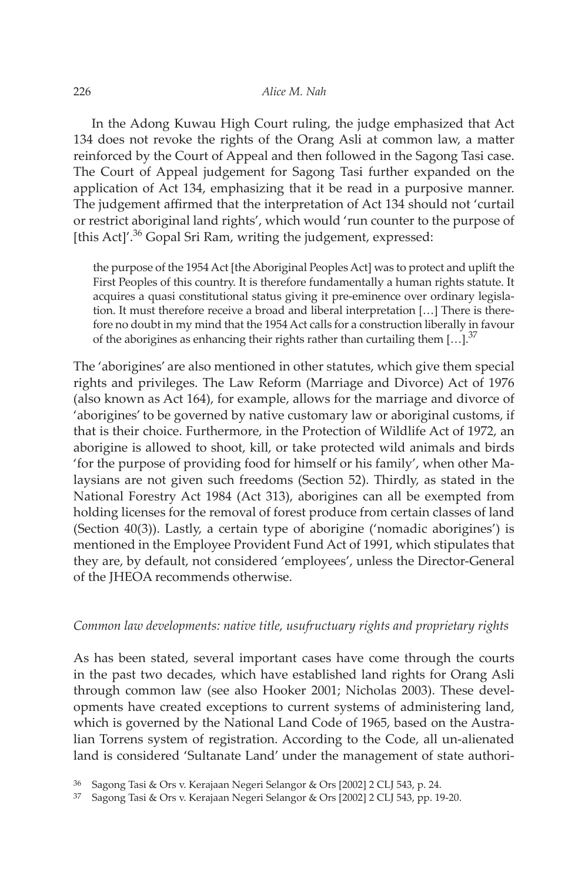In the Adong Kuwau High Court ruling, the judge emphasized that Act 134 does not revoke the rights of the Orang Asli at common law, a matter reinforced by the Court of Appeal and then followed in the Sagong Tasi case. The Court of Appeal judgement for Sagong Tasi further expanded on the application of Act 134, emphasizing that it be read in a purposive manner. The judgement affirmed that the interpretation of Act 134 should not 'curtail or restrict aboriginal land rights', which would 'run counter to the purpose of [this Act]'.<sup>36</sup> Gopal Sri Ram, writing the judgement, expressed:

the purpose of the 1954 Act [the Aboriginal Peoples Act] was to protect and uplift the First Peoples of this country. It is therefore fundamentally a human rights statute. It acquires a quasi constitutional status giving it pre-eminence over ordinary legislation. It must therefore receive a broad and liberal interpretation […] There is therefore no doubt in my mind that the 1954 Act calls for a construction liberally in favour of the aborigines as enhancing their rights rather than curtailing them  $[...]^{37}$ 

The 'aborigines' are also mentioned in other statutes, which give them special rights and privileges. The Law Reform (Marriage and Divorce) Act of 1976 (also known as Act 164), for example, allows for the marriage and divorce of 'aborigines' to be governed by native customary law or aboriginal customs, if that is their choice. Furthermore, in the Protection of Wildlife Act of 1972, an aborigine is allowed to shoot, kill, or take protected wild animals and birds 'for the purpose of providing food for himself or his family', when other Malaysians are not given such freedoms (Section 52). Thirdly, as stated in the National Forestry Act 1984 (Act 313), aborigines can all be exempted from holding licenses for the removal of forest produce from certain classes of land (Section 40(3)). Lastly, a certain type of aborigine ('nomadic aborigines') is mentioned in the Employee Provident Fund Act of 1991, which stipulates that they are, by default, not considered 'employees', unless the Director-General of the JHEOA recommends otherwise.

## *Common law developments: native title, usufructuary rights and proprietary rights*

As has been stated, several important cases have come through the courts in the past two decades, which have established land rights for Orang Asli through common law (see also Hooker 2001; Nicholas 2003). These developments have created exceptions to current systems of administering land, which is governed by the National Land Code of 1965, based on the Australian Torrens system of registration. According to the Code, all un-alienated land is considered 'Sultanate Land' under the management of state authori-

<sup>36</sup> Sagong Tasi & Ors v. Kerajaan Negeri Selangor & Ors [2002] 2 CLJ 543, p. 24.

<sup>37</sup> Sagong Tasi & Ors v. Kerajaan Negeri Selangor & Ors [2002] 2 CLJ 543, pp. 19-20.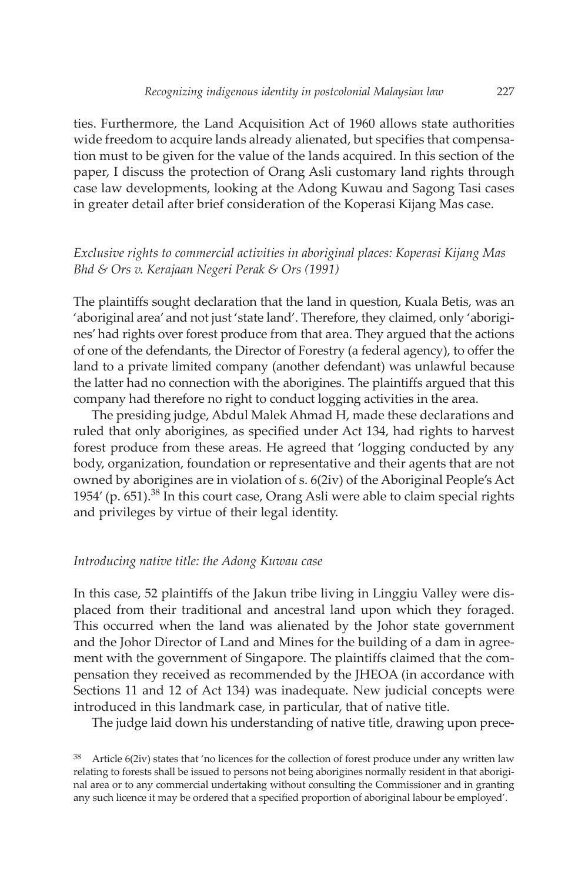ties. Furthermore, the Land Acquisition Act of 1960 allows state authorities wide freedom to acquire lands already alienated, but specifies that compensation must to be given for the value of the lands acquired. In this section of the paper, I discuss the protection of Orang Asli customary land rights through case law developments, looking at the Adong Kuwau and Sagong Tasi cases in greater detail after brief consideration of the Koperasi Kijang Mas case.

## *Exclusive rights to commercial activities in aboriginal places: Koperasi Kijang Mas Bhd & Ors v. Kerajaan Negeri Perak & Ors (1991)*

The plaintiffs sought declaration that the land in question, Kuala Betis, was an 'aboriginal area' and not just 'state land'. Therefore, they claimed, only 'aborigines' had rights over forest produce from that area. They argued that the actions of one of the defendants, the Director of Forestry (a federal agency), to offer the land to a private limited company (another defendant) was unlawful because the latter had no connection with the aborigines. The plaintiffs argued that this company had therefore no right to conduct logging activities in the area.

The presiding judge, Abdul Malek Ahmad H, made these declarations and ruled that only aborigines, as specified under Act 134, had rights to harvest forest produce from these areas. He agreed that 'logging conducted by any body, organization, foundation or representative and their agents that are not owned by aborigines are in violation of s. 6(2iv) of the Aboriginal People's Act 1954' (p. 651). $38$  In this court case, Orang Asli were able to claim special rights and privileges by virtue of their legal identity.

## *Introducing native title: the Adong Kuwau case*

In this case, 52 plaintiffs of the Jakun tribe living in Linggiu Valley were displaced from their traditional and ancestral land upon which they foraged. This occurred when the land was alienated by the Johor state government and the Johor Director of Land and Mines for the building of a dam in agreement with the government of Singapore. The plaintiffs claimed that the compensation they received as recommended by the JHEOA (in accordance with Sections 11 and 12 of Act 134) was inadequate. New judicial concepts were introduced in this landmark case, in particular, that of native title.

The judge laid down his understanding of native title, drawing upon prece-

 $38$  Article 6(2iv) states that 'no licences for the collection of forest produce under any written law relating to forests shall be issued to persons not being aborigines normally resident in that aboriginal area or to any commercial undertaking without consulting the Commissioner and in granting any such licence it may be ordered that a specified proportion of aboriginal labour be employed'.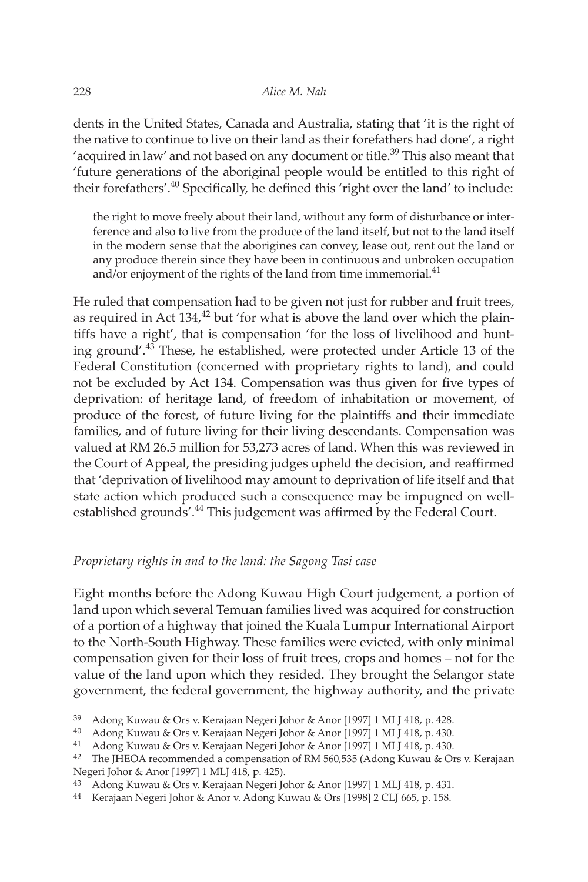dents in the United States, Canada and Australia, stating that 'it is the right of the native to continue to live on their land as their forefathers had done', a right 'acquired in law' and not based on any document or title.<sup>39</sup> This also meant that 'future generations of the aboriginal people would be entitled to this right of their forefathers'.<sup>40</sup> Specifically, he defined this 'right over the land' to include:

the right to move freely about their land, without any form of disturbance or interference and also to live from the produce of the land itself, but not to the land itself in the modern sense that the aborigines can convey, lease out, rent out the land or any produce therein since they have been in continuous and unbroken occupation and/or enjoyment of the rights of the land from time immemorial. $^{41}$ 

He ruled that compensation had to be given not just for rubber and fruit trees, as required in Act 134,<sup>42</sup> but 'for what is above the land over which the plaintiffs have a right', that is compensation 'for the loss of livelihood and hunting ground'.<sup>43</sup> These, he established, were protected under Article 13 of the Federal Constitution (concerned with proprietary rights to land), and could not be excluded by Act 134. Compensation was thus given for five types of deprivation: of heritage land, of freedom of inhabitation or movement, of produce of the forest, of future living for the plaintiffs and their immediate families, and of future living for their living descendants. Compensation was valued at RM 26.5 million for 53,273 acres of land. When this was reviewed in the Court of Appeal, the presiding judges upheld the decision, and reaffirmed that 'deprivation of livelihood may amount to deprivation of life itself and that state action which produced such a consequence may be impugned on wellestablished grounds'.<sup>44</sup> This judgement was affirmed by the Federal Court.

## *Proprietary rights in and to the land: the Sagong Tasi case*

Eight months before the Adong Kuwau High Court judgement, a portion of land upon which several Temuan families lived was acquired for construction of a portion of a highway that joined the Kuala Lumpur International Airport to the North-South Highway. These families were evicted, with only minimal compensation given for their loss of fruit trees, crops and homes – not for the value of the land upon which they resided. They brought the Selangor state government, the federal government, the highway authority, and the private

40 Adong Kuwau & Ors v. Kerajaan Negeri Johor & Anor [1997] 1 MLJ 418, p. 430.

- 42 The JHEOA recommended a compensation of RM 560,535 (Adong Kuwau & Ors v. Kerajaan Negeri Johor & Anor [1997] 1 MLJ 418, p. 425).
- 43 Adong Kuwau & Ors v. Kerajaan Negeri Johor & Anor [1997] 1 MLJ 418, p. 431.
- 44 Kerajaan Negeri Johor & Anor v. Adong Kuwau & Ors [1998] 2 CLJ 665, p. 158.

<sup>39</sup> Adong Kuwau & Ors v. Kerajaan Negeri Johor & Anor [1997] 1 MLJ 418, p. 428.

<sup>41</sup> Adong Kuwau & Ors v. Kerajaan Negeri Johor & Anor [1997] 1 MLJ 418, p. 430.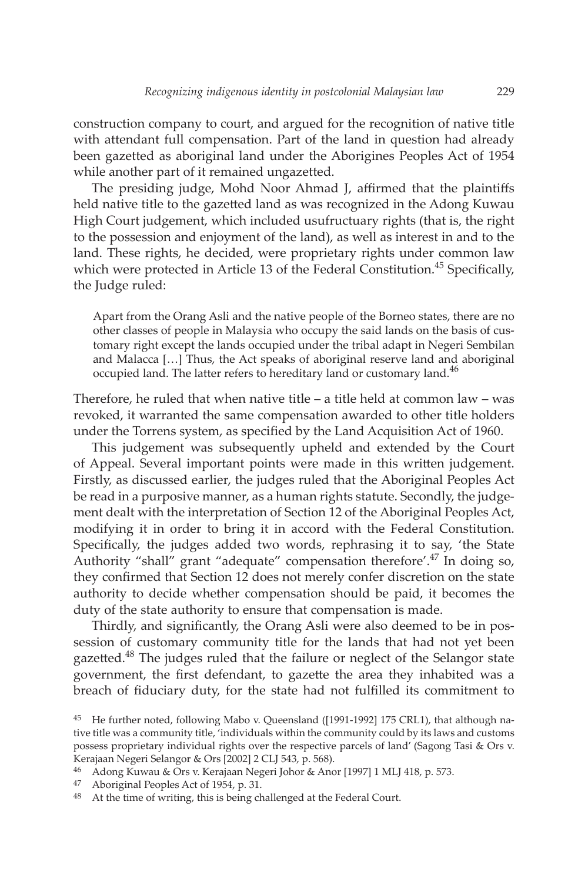construction company to court, and argued for the recognition of native title with attendant full compensation. Part of the land in question had already been gazetted as aboriginal land under the Aborigines Peoples Act of 1954 while another part of it remained ungazetted.

The presiding judge, Mohd Noor Ahmad J, affirmed that the plaintiffs held native title to the gazetted land as was recognized in the Adong Kuwau High Court judgement, which included usufructuary rights (that is, the right to the possession and enjoyment of the land), as well as interest in and to the land. These rights, he decided, were proprietary rights under common law which were protected in Article 13 of the Federal Constitution.<sup>45</sup> Specifically, the Judge ruled:

Apart from the Orang Asli and the native people of the Borneo states, there are no other classes of people in Malaysia who occupy the said lands on the basis of customary right except the lands occupied under the tribal adapt in Negeri Sembilan and Malacca […] Thus, the Act speaks of aboriginal reserve land and aboriginal occupied land. The latter refers to hereditary land or customary land.<sup>46</sup>

Therefore, he ruled that when native title – a title held at common law – was revoked, it warranted the same compensation awarded to other title holders under the Torrens system, as specified by the Land Acquisition Act of 1960.

This judgement was subsequently upheld and extended by the Court of Appeal. Several important points were made in this written judgement. Firstly, as discussed earlier, the judges ruled that the Aboriginal Peoples Act be read in a purposive manner, as a human rights statute. Secondly, the judgement dealt with the interpretation of Section 12 of the Aboriginal Peoples Act, modifying it in order to bring it in accord with the Federal Constitution. Specifically, the judges added two words, rephrasing it to say, 'the State Authority "shall" grant "adequate" compensation therefore'.<sup>47</sup> In doing so, they confirmed that Section 12 does not merely confer discretion on the state authority to decide whether compensation should be paid, it becomes the duty of the state authority to ensure that compensation is made.

Thirdly, and significantly, the Orang Asli were also deemed to be in possession of customary community title for the lands that had not yet been gazetted.<sup>48</sup> The judges ruled that the failure or neglect of the Selangor state government, the first defendant, to gazette the area they inhabited was a breach of fiduciary duty, for the state had not fulfilled its commitment to

<sup>&</sup>lt;sup>45</sup> He further noted, following Mabo v. Queensland ([1991-1992] 175 CRL1), that although native title was a community title, 'individuals within the community could by its laws and customs possess proprietary individual rights over the respective parcels of land' (Sagong Tasi & Ors v. Kerajaan Negeri Selangor & Ors [2002] 2 CLJ 543, p. 568).

<sup>46</sup> Adong Kuwau & Ors v. Kerajaan Negeri Johor & Anor [1997] 1 MLJ 418, p. 573.

<sup>47</sup> Aboriginal Peoples Act of 1954, p. 31.

<sup>48</sup> At the time of writing, this is being challenged at the Federal Court.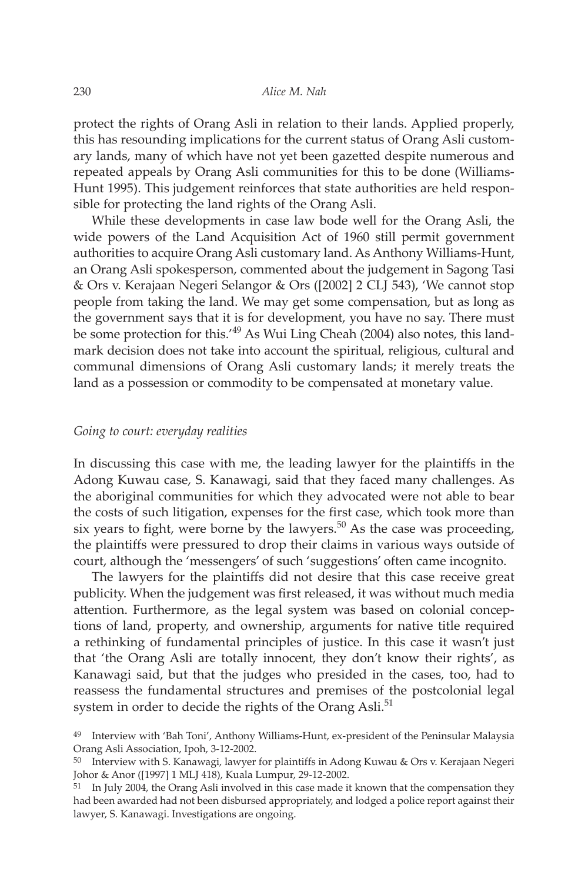protect the rights of Orang Asli in relation to their lands. Applied properly, this has resounding implications for the current status of Orang Asli customary lands, many of which have not yet been gazetted despite numerous and repeated appeals by Orang Asli communities for this to be done (Williams-Hunt 1995). This judgement reinforces that state authorities are held responsible for protecting the land rights of the Orang Asli.

While these developments in case law bode well for the Orang Asli, the wide powers of the Land Acquisition Act of 1960 still permit government authorities to acquire Orang Asli customary land. As Anthony Williams-Hunt, an Orang Asli spokesperson, commented about the judgement in Sagong Tasi & Ors v. Kerajaan Negeri Selangor & Ors ([2002] 2 CLJ 543), 'We cannot stop people from taking the land. We may get some compensation, but as long as the government says that it is for development, you have no say. There must be some protection for this.'49 As Wui Ling Cheah (2004) also notes, this landmark decision does not take into account the spiritual, religious, cultural and communal dimensions of Orang Asli customary lands; it merely treats the land as a possession or commodity to be compensated at monetary value.

#### *Going to court: everyday realities*

In discussing this case with me, the leading lawyer for the plaintiffs in the Adong Kuwau case, S. Kanawagi, said that they faced many challenges. As the aboriginal communities for which they advocated were not able to bear the costs of such litigation, expenses for the first case, which took more than six years to fight, were borne by the lawyers.<sup>50</sup> As the case was proceeding, the plaintiffs were pressured to drop their claims in various ways outside of court, although the 'messengers' of such 'suggestions' often came incognito.

The lawyers for the plaintiffs did not desire that this case receive great publicity. When the judgement was first released, it was without much media attention. Furthermore, as the legal system was based on colonial conceptions of land, property, and ownership, arguments for native title required a rethinking of fundamental principles of justice. In this case it wasn't just that 'the Orang Asli are totally innocent, they don't know their rights', as Kanawagi said, but that the judges who presided in the cases, too, had to reassess the fundamental structures and premises of the postcolonial legal system in order to decide the rights of the Orang Asli.<sup>51</sup>

<sup>49</sup> Interview with 'Bah Toni', Anthony Williams-Hunt, ex-president of the Peninsular Malaysia Orang Asli Association, Ipoh, 3-12-2002.

<sup>50</sup> Interview with S. Kanawagi, lawyer for plaintiffs in Adong Kuwau & Ors v. Kerajaan Negeri Johor & Anor ([1997] 1 MLJ 418), Kuala Lumpur, 29-12-2002.

<sup>&</sup>lt;sup>51</sup> In July 2004, the Orang Asli involved in this case made it known that the compensation they had been awarded had not been disbursed appropriately, and lodged a police report against their lawyer, S. Kanawagi. Investigations are ongoing.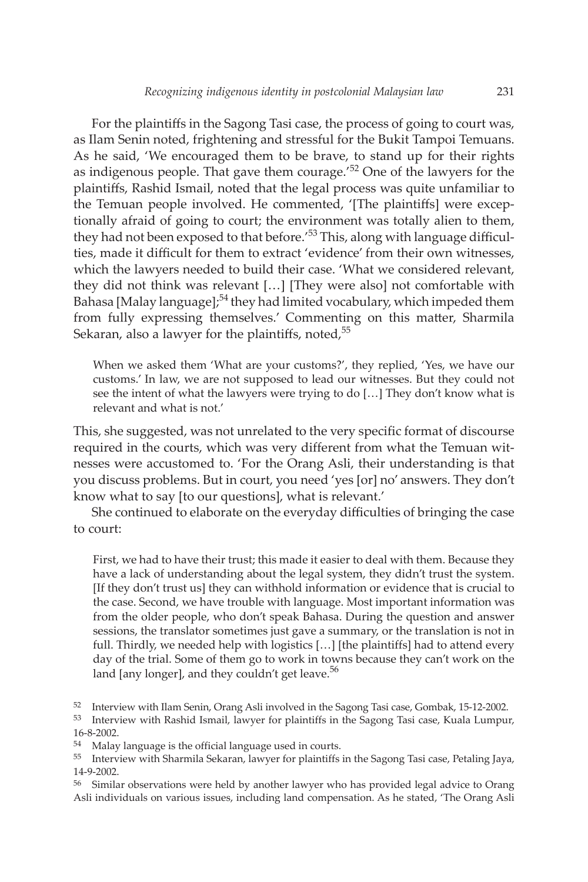For the plaintiffs in the Sagong Tasi case, the process of going to court was, as Ilam Senin noted, frightening and stressful for the Bukit Tampoi Temuans. As he said, 'We encouraged them to be brave, to stand up for their rights as indigenous people. That gave them courage.'<sup>52</sup> One of the lawyers for the plaintiffs, Rashid Ismail, noted that the legal process was quite unfamiliar to the Temuan people involved. He commented, '[The plaintiffs] were exceptionally afraid of going to court; the environment was totally alien to them, they had not been exposed to that before.<sup>'53</sup> This, along with language difficulties, made it difficult for them to extract 'evidence' from their own witnesses, which the lawyers needed to build their case. 'What we considered relevant, they did not think was relevant […] [They were also] not comfortable with Bahasa [Malay language]; $54$  they had limited vocabulary, which impeded them from fully expressing themselves.' Commenting on this matter, Sharmila Sekaran, also a lawyer for the plaintiffs, noted,<sup>55</sup>

When we asked them 'What are your customs?', they replied, 'Yes, we have our customs.' In law, we are not supposed to lead our witnesses. But they could not see the intent of what the lawyers were trying to do […] They don't know what is relevant and what is not.'

This, she suggested, was not unrelated to the very specific format of discourse required in the courts, which was very different from what the Temuan witnesses were accustomed to. 'For the Orang Asli, their understanding is that you discuss problems. But in court, you need 'yes [or] no' answers. They don't know what to say [to our questions], what is relevant.'

She continued to elaborate on the everyday difficulties of bringing the case to court:

First, we had to have their trust; this made it easier to deal with them. Because they have a lack of understanding about the legal system, they didn't trust the system. [If they don't trust us] they can withhold information or evidence that is crucial to the case. Second, we have trouble with language. Most important information was from the older people, who don't speak Bahasa. During the question and answer sessions, the translator sometimes just gave a summary, or the translation is not in full. Thirdly, we needed help with logistics […] [the plaintiffs] had to attend every day of the trial. Some of them go to work in towns because they can't work on the land [any longer], and they couldn't get leave.<sup>56</sup>

52 Interview with Ilam Senin, Orang Asli involved in the Sagong Tasi case, Gombak, 15-12-2002.

53 Interview with Rashid Ismail, lawyer for plaintiffs in the Sagong Tasi case, Kuala Lumpur, 16-8-2002.

54 Malay language is the official language used in courts.

55 Interview with Sharmila Sekaran, lawyer for plaintiffs in the Sagong Tasi case, Petaling Jaya, 14-9-2002.

56 Similar observations were held by another lawyer who has provided legal advice to Orang Asli individuals on various issues, including land compensation. As he stated, 'The Orang Asli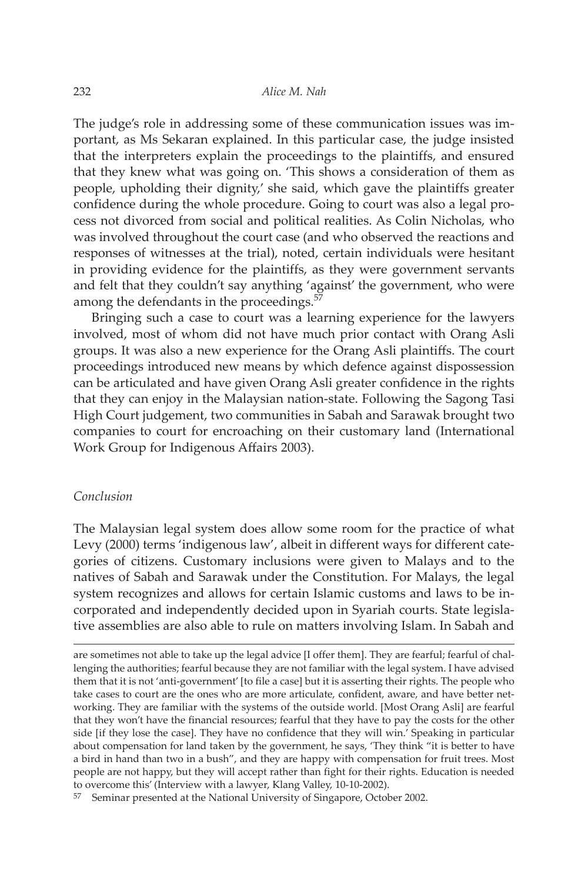The judge's role in addressing some of these communication issues was important, as Ms Sekaran explained. In this particular case, the judge insisted that the interpreters explain the proceedings to the plaintiffs, and ensured that they knew what was going on. 'This shows a consideration of them as people, upholding their dignity,' she said, which gave the plaintiffs greater confidence during the whole procedure. Going to court was also a legal process not divorced from social and political realities. As Colin Nicholas, who was involved throughout the court case (and who observed the reactions and responses of witnesses at the trial), noted, certain individuals were hesitant in providing evidence for the plaintiffs, as they were government servants and felt that they couldn't say anything 'against' the government, who were among the defendants in the proceedings.<sup>57</sup>

Bringing such a case to court was a learning experience for the lawyers involved, most of whom did not have much prior contact with Orang Asli groups. It was also a new experience for the Orang Asli plaintiffs. The court proceedings introduced new means by which defence against dispossession can be articulated and have given Orang Asli greater confidence in the rights that they can enjoy in the Malaysian nation-state. Following the Sagong Tasi High Court judgement, two communities in Sabah and Sarawak brought two companies to court for encroaching on their customary land (International Work Group for Indigenous Affairs 2003).

#### *Conclusion*

The Malaysian legal system does allow some room for the practice of what Levy (2000) terms 'indigenous law', albeit in different ways for different categories of citizens. Customary inclusions were given to Malays and to the natives of Sabah and Sarawak under the Constitution. For Malays, the legal system recognizes and allows for certain Islamic customs and laws to be incorporated and independently decided upon in Syariah courts. State legislative assemblies are also able to rule on matters involving Islam. In Sabah and

are sometimes not able to take up the legal advice [I offer them]. They are fearful; fearful of challenging the authorities; fearful because they are not familiar with the legal system. I have advised them that it is not 'anti-government' [to file a case] but it is asserting their rights. The people who take cases to court are the ones who are more articulate, confident, aware, and have better networking. They are familiar with the systems of the outside world. [Most Orang Asli] are fearful that they won't have the financial resources; fearful that they have to pay the costs for the other side [if they lose the case]. They have no confidence that they will win.' Speaking in particular about compensation for land taken by the government, he says, 'They think "it is better to have a bird in hand than two in a bush", and they are happy with compensation for fruit trees. Most people are not happy, but they will accept rather than fight for their rights. Education is needed to overcome this' (Interview with a lawyer, Klang Valley, 10-10-2002).

<sup>57</sup> Seminar presented at the National University of Singapore, October 2002.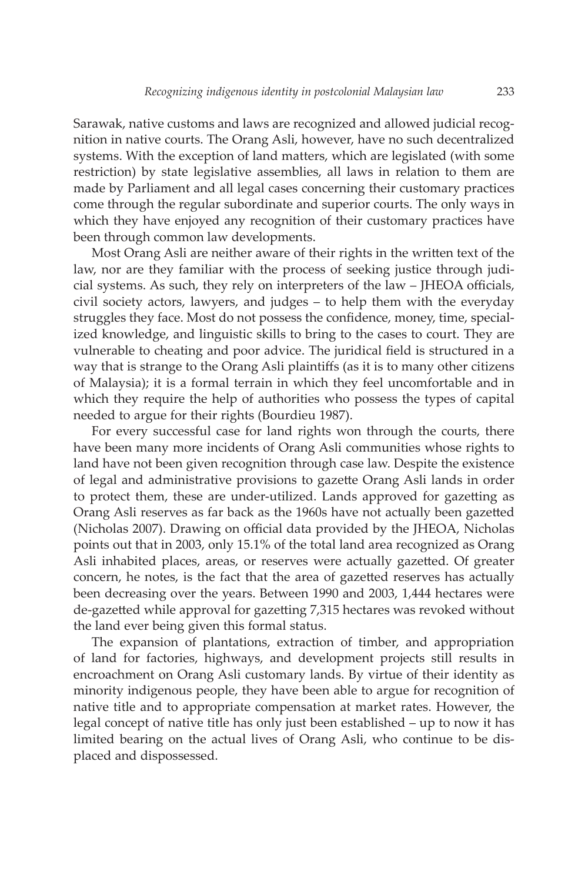Sarawak, native customs and laws are recognized and allowed judicial recognition in native courts. The Orang Asli, however, have no such decentralized systems. With the exception of land matters, which are legislated (with some restriction) by state legislative assemblies, all laws in relation to them are made by Parliament and all legal cases concerning their customary practices come through the regular subordinate and superior courts. The only ways in which they have enjoyed any recognition of their customary practices have been through common law developments.

Most Orang Asli are neither aware of their rights in the written text of the law, nor are they familiar with the process of seeking justice through judicial systems. As such, they rely on interpreters of the law – JHEOA officials, civil society actors, lawyers, and judges – to help them with the everyday struggles they face. Most do not possess the confidence, money, time, specialized knowledge, and linguistic skills to bring to the cases to court. They are vulnerable to cheating and poor advice. The juridical field is structured in a way that is strange to the Orang Asli plaintiffs (as it is to many other citizens of Malaysia); it is a formal terrain in which they feel uncomfortable and in which they require the help of authorities who possess the types of capital needed to argue for their rights (Bourdieu 1987).

For every successful case for land rights won through the courts, there have been many more incidents of Orang Asli communities whose rights to land have not been given recognition through case law. Despite the existence of legal and administrative provisions to gazette Orang Asli lands in order to protect them, these are under-utilized. Lands approved for gazetting as Orang Asli reserves as far back as the 1960s have not actually been gazetted (Nicholas 2007). Drawing on official data provided by the JHEOA, Nicholas points out that in 2003, only 15.1% of the total land area recognized as Orang Asli inhabited places, areas, or reserves were actually gazetted. Of greater concern, he notes, is the fact that the area of gazetted reserves has actually been decreasing over the years. Between 1990 and 2003, 1,444 hectares were de-gazetted while approval for gazetting 7,315 hectares was revoked without the land ever being given this formal status.

The expansion of plantations, extraction of timber, and appropriation of land for factories, highways, and development projects still results in encroachment on Orang Asli customary lands. By virtue of their identity as minority indigenous people, they have been able to argue for recognition of native title and to appropriate compensation at market rates. However, the legal concept of native title has only just been established – up to now it has limited bearing on the actual lives of Orang Asli, who continue to be displaced and dispossessed.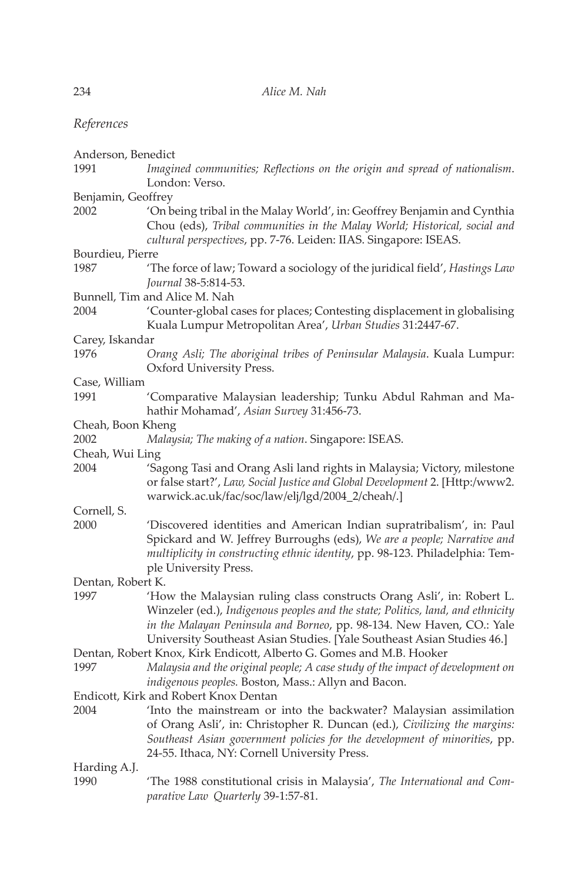## *References*

| Anderson, Benedict                    |                                                                                 |  |
|---------------------------------------|---------------------------------------------------------------------------------|--|
| 1991                                  | Imagined communities; Reflections on the origin and spread of nationalism.      |  |
|                                       | London: Verso.                                                                  |  |
| Benjamin, Geoffrey                    |                                                                                 |  |
| 2002                                  | 'On being tribal in the Malay World', in: Geoffrey Benjamin and Cynthia         |  |
|                                       | Chou (eds), Tribal communities in the Malay World; Historical, social and       |  |
|                                       | cultural perspectives, pp. 7-76. Leiden: IIAS. Singapore: ISEAS.                |  |
| Bourdieu, Pierre                      |                                                                                 |  |
| 1987                                  | 'The force of law; Toward a sociology of the juridical field', Hastings Law     |  |
|                                       | <i>Journal</i> 38-5:814-53.                                                     |  |
|                                       | Bunnell, Tim and Alice M. Nah                                                   |  |
| 2004                                  | 'Counter-global cases for places; Contesting displacement in globalising        |  |
|                                       | Kuala Lumpur Metropolitan Area', Urban Studies 31:2447-67.                      |  |
| Carey, Iskandar                       |                                                                                 |  |
| 1976                                  | Orang Asli; The aboriginal tribes of Peninsular Malaysia. Kuala Lumpur:         |  |
|                                       | Oxford University Press.                                                        |  |
| Case, William                         |                                                                                 |  |
| 1991                                  | 'Comparative Malaysian leadership; Tunku Abdul Rahman and Ma-                   |  |
|                                       | hathir Mohamad', Asian Survey 31:456-73.                                        |  |
| Cheah, Boon Kheng                     |                                                                                 |  |
| 2002                                  | Malaysia; The making of a nation. Singapore: ISEAS.                             |  |
| Cheah, Wui Ling                       |                                                                                 |  |
| 2004                                  | 'Sagong Tasi and Orang Asli land rights in Malaysia; Victory, milestone         |  |
|                                       | or false start?', Law, Social Justice and Global Development 2. [Http:/www2.    |  |
|                                       | warwick.ac.uk/fac/soc/law/elj/lgd/2004_2/cheah/.]                               |  |
| Cornell, S.                           |                                                                                 |  |
| 2000                                  | 'Discovered identities and American Indian supratribalism', in: Paul            |  |
|                                       | Spickard and W. Jeffrey Burroughs (eds), We are a people; Narrative and         |  |
|                                       | multiplicity in constructing ethnic identity, pp. 98-123. Philadelphia: Tem-    |  |
|                                       | ple University Press.                                                           |  |
| Dentan, Robert K.                     |                                                                                 |  |
| 1997                                  | 'How the Malaysian ruling class constructs Orang Asli', in: Robert L.           |  |
|                                       | Winzeler (ed.), Indigenous peoples and the state; Politics, land, and ethnicity |  |
|                                       | in the Malayan Peninsula and Borneo, pp. 98-134. New Haven, CO.: Yale           |  |
|                                       | University Southeast Asian Studies. [Yale Southeast Asian Studies 46.]          |  |
|                                       | Dentan, Robert Knox, Kirk Endicott, Alberto G. Gomes and M.B. Hooker            |  |
| 1997                                  | Malaysia and the original people; A case study of the impact of development on  |  |
|                                       | indigenous peoples. Boston, Mass.: Allyn and Bacon.                             |  |
| Endicott, Kirk and Robert Knox Dentan |                                                                                 |  |
| 2004                                  | 'Into the mainstream or into the backwater? Malaysian assimilation              |  |
|                                       | of Orang Asli', in: Christopher R. Duncan (ed.), Civilizing the margins:        |  |
|                                       | Southeast Asian government policies for the development of minorities, pp.      |  |
|                                       | 24-55. Ithaca, NY: Cornell University Press.                                    |  |
|                                       |                                                                                 |  |
| Harding A.J.<br>1990                  | 'The 1988 constitutional crisis in Malaysia', The International and Com-        |  |
|                                       | parative Law Quarterly 39-1:57-81.                                              |  |
|                                       |                                                                                 |  |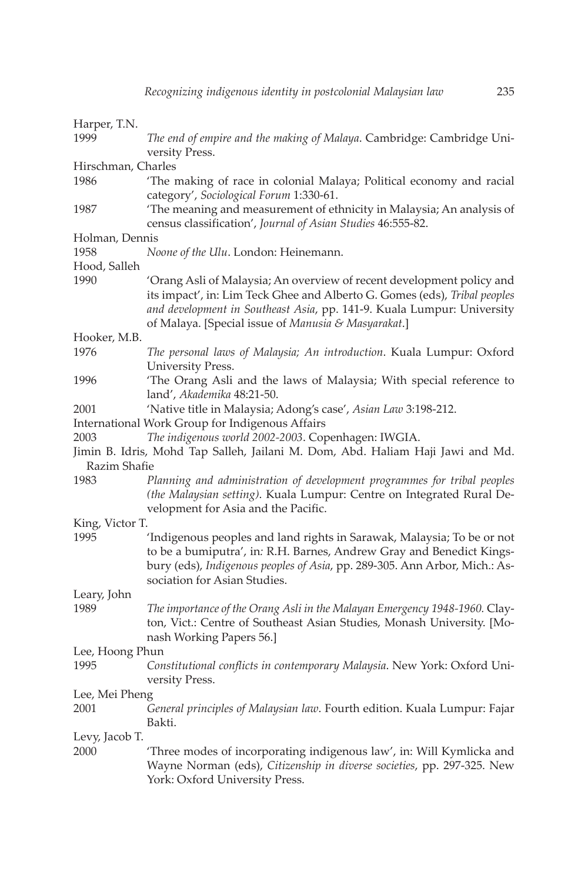| Harper, T.N.       |                                                                                                                                                                                                                                                                                     |  |
|--------------------|-------------------------------------------------------------------------------------------------------------------------------------------------------------------------------------------------------------------------------------------------------------------------------------|--|
| 1999               | The end of empire and the making of Malaya. Cambridge: Cambridge Uni-                                                                                                                                                                                                               |  |
|                    | versity Press.                                                                                                                                                                                                                                                                      |  |
| Hirschman, Charles |                                                                                                                                                                                                                                                                                     |  |
| 1986               | 'The making of race in colonial Malaya; Political economy and racial<br>category', Sociological Forum 1:330-61.                                                                                                                                                                     |  |
| 1987               | 'The meaning and measurement of ethnicity in Malaysia; An analysis of<br>census classification', Journal of Asian Studies 46:555-82.                                                                                                                                                |  |
| Holman, Dennis     |                                                                                                                                                                                                                                                                                     |  |
| 1958               | <i>Noone of the Ulu. London: Heinemann.</i>                                                                                                                                                                                                                                         |  |
| Hood, Salleh       |                                                                                                                                                                                                                                                                                     |  |
| 1990               | 'Orang Asli of Malaysia; An overview of recent development policy and<br>its impact', in: Lim Teck Ghee and Alberto G. Gomes (eds), Tribal peoples<br>and development in Southeast Asia, pp. 141-9. Kuala Lumpur: University<br>of Malaya. [Special issue of Manusia & Masyarakat.] |  |
| Hooker, M.B.       |                                                                                                                                                                                                                                                                                     |  |
| 1976               | The personal laws of Malaysia; An introduction. Kuala Lumpur: Oxford                                                                                                                                                                                                                |  |
| 1996               | University Press.<br>'The Orang Asli and the laws of Malaysia; With special reference to<br>land', Akademika 48:21-50.                                                                                                                                                              |  |
| 2001               | 'Native title in Malaysia; Adong's case', Asian Law 3:198-212.                                                                                                                                                                                                                      |  |
|                    | International Work Group for Indigenous Affairs                                                                                                                                                                                                                                     |  |
| 2003               | The indigenous world 2002-2003. Copenhagen: IWGIA.                                                                                                                                                                                                                                  |  |
|                    | Jimin B. Idris, Mohd Tap Salleh, Jailani M. Dom, Abd. Haliam Haji Jawi and Md.                                                                                                                                                                                                      |  |
| Razim Shafie       |                                                                                                                                                                                                                                                                                     |  |
| 1983               | Planning and administration of development programmes for tribal peoples<br>(the Malaysian setting). Kuala Lumpur: Centre on Integrated Rural De-<br>velopment for Asia and the Pacific.                                                                                            |  |
| King, Victor T.    |                                                                                                                                                                                                                                                                                     |  |
| 1995               | 'Indigenous peoples and land rights in Sarawak, Malaysia; To be or not<br>to be a bumiputra', in: R.H. Barnes, Andrew Gray and Benedict Kings-<br>bury (eds), Indigenous peoples of Asia, pp. 289-305. Ann Arbor, Mich.: As-<br>sociation for Asian Studies.                        |  |
| Leary, John        |                                                                                                                                                                                                                                                                                     |  |
| 1989               | The importance of the Orang Asli in the Malayan Emergency 1948-1960. Clay-<br>ton, Vict.: Centre of Southeast Asian Studies, Monash University. [Mo-<br>nash Working Papers 56.]                                                                                                    |  |
| Lee, Hoong Phun    |                                                                                                                                                                                                                                                                                     |  |
| 1995               | Constitutional conflicts in contemporary Malaysia. New York: Oxford Uni-<br>versity Press.                                                                                                                                                                                          |  |
| Lee, Mei Pheng     |                                                                                                                                                                                                                                                                                     |  |
| 2001               | General principles of Malaysian law. Fourth edition. Kuala Lumpur: Fajar<br>Bakti.                                                                                                                                                                                                  |  |
| Levy, Jacob T.     |                                                                                                                                                                                                                                                                                     |  |
| 2000               | 'Three modes of incorporating indigenous law', in: Will Kymlicka and<br>Wayne Norman (eds), Citizenship in diverse societies, pp. 297-325. New<br>York: Oxford University Press.                                                                                                    |  |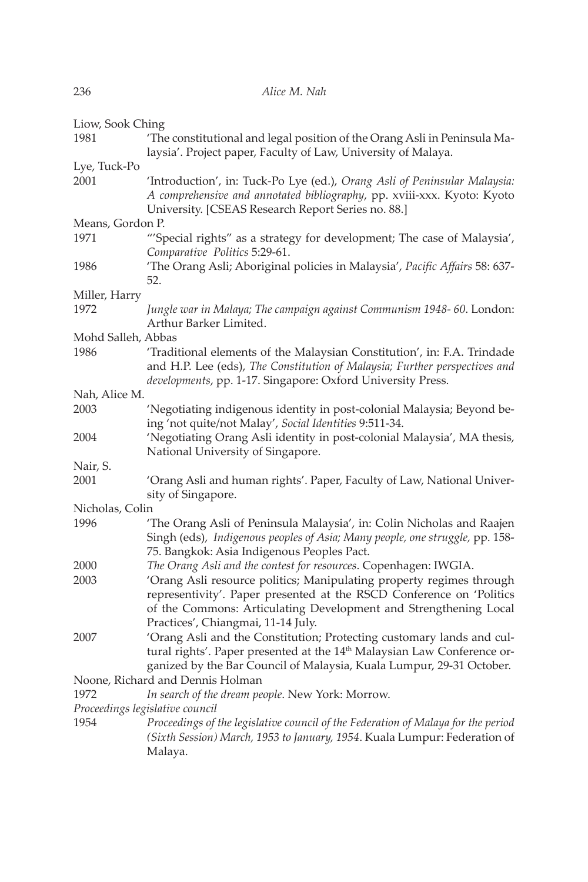| Liow, Sook Ching   |                                                                                     |
|--------------------|-------------------------------------------------------------------------------------|
| 1981               | 'The constitutional and legal position of the Orang Asli in Peninsula Ma-           |
|                    | laysia'. Project paper, Faculty of Law, University of Malaya.                       |
| Lye, Tuck-Po       |                                                                                     |
| 2001               | 'Introduction', in: Tuck-Po Lye (ed.), Orang Asli of Peninsular Malaysia:           |
|                    | A comprehensive and annotated bibliography, pp. xviii-xxx. Kyoto: Kyoto             |
|                    | University. [CSEAS Research Report Series no. 88.]                                  |
| Means, Gordon P.   |                                                                                     |
| 1971               | "'Special rights" as a strategy for development; The case of Malaysia',             |
|                    | Comparative Politics 5:29-61.                                                       |
| 1986               | 'The Orang Asli; Aboriginal policies in Malaysia', Pacific Affairs 58: 637-         |
|                    | 52.                                                                                 |
| Miller, Harry      |                                                                                     |
| 1972               | Jungle war in Malaya; The campaign against Communism 1948- 60. London:              |
|                    | Arthur Barker Limited.                                                              |
| Mohd Salleh, Abbas |                                                                                     |
| 1986               | 'Traditional elements of the Malaysian Constitution', in: F.A. Trindade             |
|                    | and H.P. Lee (eds), The Constitution of Malaysia; Further perspectives and          |
|                    | developments, pp. 1-17. Singapore: Oxford University Press.                         |
| Nah, Alice M.      |                                                                                     |
| 2003               | 'Negotiating indigenous identity in post-colonial Malaysia; Beyond be-              |
|                    | ing 'not quite/not Malay', Social Identities 9:511-34.                              |
| 2004               | 'Negotiating Orang Asli identity in post-colonial Malaysia', MA thesis,             |
|                    | National University of Singapore.                                                   |
| Nair, S.           |                                                                                     |
| 2001               | 'Orang Asli and human rights'. Paper, Faculty of Law, National Univer-              |
|                    | sity of Singapore.                                                                  |
| Nicholas, Colin    |                                                                                     |
| 1996               | 'The Orang Asli of Peninsula Malaysia', in: Colin Nicholas and Raajen               |
|                    | Singh (eds), Indigenous peoples of Asia; Many people, one struggle, pp. 158-        |
|                    | 75. Bangkok: Asia Indigenous Peoples Pact.                                          |
| 2000               | The Orang Asli and the contest for resources. Copenhagen: IWGIA.                    |
| 2003               | 'Orang Asli resource politics; Manipulating property regimes through                |
|                    | representivity'. Paper presented at the RSCD Conference on 'Politics                |
|                    | of the Commons: Articulating Development and Strengthening Local                    |
|                    | Practices', Chiangmai, 11-14 July.                                                  |
| 2007               | 'Orang Asli and the Constitution; Protecting customary lands and cul-               |
|                    | tural rights'. Paper presented at the 14 <sup>th</sup> Malaysian Law Conference or- |
|                    | ganized by the Bar Council of Malaysia, Kuala Lumpur, 29-31 October.                |
|                    | Noone, Richard and Dennis Holman                                                    |
| 1972               | In search of the dream people. New York: Morrow.                                    |
|                    | Proceedings legislative council                                                     |
| 1954               | Proceedings of the legislative council of the Federation of Malaya for the period   |
|                    | (Sixth Session) March, 1953 to January, 1954. Kuala Lumpur: Federation of           |
|                    | Malaya.                                                                             |